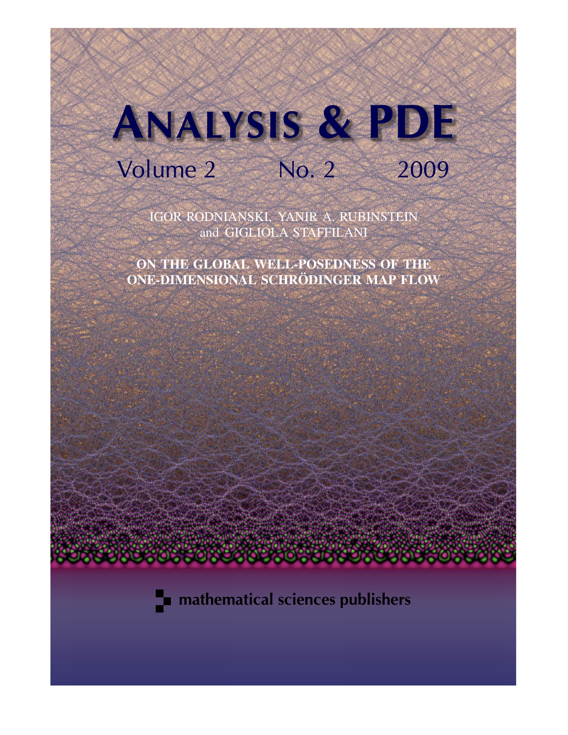# ANALYSIS & PDE

## Volume 2 No. 2 2009

IGOR RODNIANSKI, YANIR A. RUBINSTEIN and GIGLIOLA STAFFILANI

ON THE GLOBAL WELL-POSEDNESS OF THE ONE-DIMENSIONAL SCHRÖDINGER MAP FLOW

**To mathematical sciences publishers**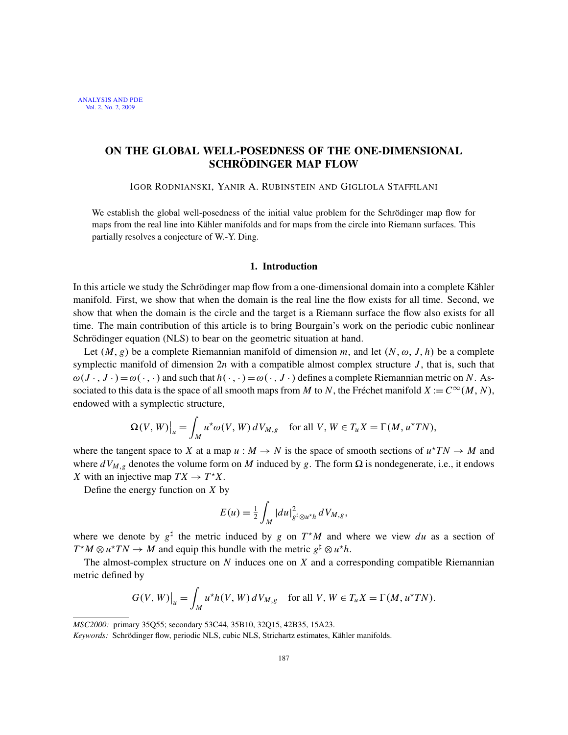### ON THE GLOBAL WELL-POSEDNESS OF THE ONE-DIMENSIONAL SCHRÖDINGER MAP FLOW

IGOR RODNIANSKI, YANIR A. RUBINSTEIN AND GIGLIOLA STAFFILANI

We establish the global well-posedness of the initial value problem for the Schrödinger map flow for maps from the real line into Kähler manifolds and for maps from the circle into Riemann surfaces. This partially resolves a conjecture of W.-Y. Ding.

#### 1. Introduction

In this article we study the Schrödinger map flow from a one-dimensional domain into a complete Kähler manifold. First, we show that when the domain is the real line the flow exists for all time. Second, we show that when the domain is the circle and the target is a Riemann surface the flow also exists for all time. The main contribution of this article is to bring Bourgain's work on the periodic cubic nonlinear Schrödinger equation (NLS) to bear on the geometric situation at hand.

Let  $(M, g)$  be a complete Riemannian manifold of dimension *m*, and let  $(N, \omega, J, h)$  be a complete symplectic manifold of dimension 2*n* with a compatible almost complex structure *J* , that is, such that  $\omega(J \cdot, J \cdot) = \omega(\cdot, \cdot)$  and such that  $h(\cdot, \cdot) = \omega(\cdot, J \cdot)$  defines a complete Riemannian metric on *N*. Associated to this data is the space of all smooth maps from *M* to *N*, the Frechet manifold  $X := C^\infty(M, N)$ , endowed with a symplectic structure,

$$
\Omega(V, W)\big|_{u} = \int_{M} u^* \omega(V, W) dV_{M, g} \quad \text{for all } V, W \in T_u X = \Gamma(M, u^* TN),
$$

where the tangent space to *X* at a map  $u : M \to N$  is the space of smooth sections of  $u^*TN \to M$  and where  $dV_{M,g}$  denotes the volume form on *M* induced by *g*. The form  $\Omega$  is nondegenerate, i.e., it endows *X* with an injective map  $TX \to T^*X$ .

Define the energy function on *X* by

$$
E(u) = \frac{1}{2} \int_M |du|_{g^{\sharp} \otimes u^{\star}h}^2 dV_{M,g},
$$

where we denote by  $g^{\sharp}$  the metric induced by *g* on  $T^{\star}M$  and where we view *du* as a section of  $T^*M \otimes u^*TN \to M$  and equip this bundle with the metric  $g^{\sharp} \otimes u^*h$ .

The almost-complex structure on *N* induces one on *X* and a corresponding compatible Riemannian metric defined by

$$
G(V, W)|_u = \int_M u^* h(V, W) dV_{M,g} \quad \text{for all } V, W \in T_u X = \Gamma(M, u^* TN).
$$

*MSC2000:* primary 35Q55; secondary 53C44, 35B10, 32Q15, 42B35, 15A23.

*Keywords:* Schrödinger flow, periodic NLS, cubic NLS, Strichartz estimates, Kähler manifolds.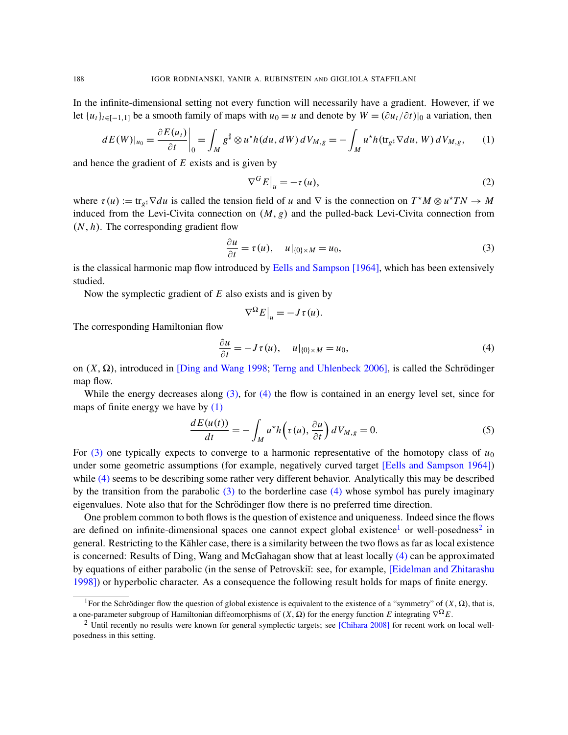In the infinite-dimensional setting not every function will necessarily have a gradient. However, if we let  $\{u_t\}_{t\in[-1,1]}$  be a smooth family of maps with  $u_0 = u$  and denote by  $W = (\partial u_t/\partial t)|_0$  a variation, then

$$
dE(W)|_{u_0} = \frac{\partial E(u_t)}{\partial t}\bigg|_0 = \int_M g^\sharp \otimes u^\star h(du, dW) dV_{M,g} = -\int_M u^\star h(\text{tr}_{g^\sharp} \nabla du, W) dV_{M,g}, \qquad (1)
$$

and hence the gradient of *E* exists and is given by

<span id="page-2-2"></span><span id="page-2-0"></span>
$$
\nabla^G E \big|_{u} = -\tau(u),\tag{2}
$$

where  $\tau(u) := \text{tr}_{g^{\sharp}} \nabla du$  is called the tension field of *u* and  $\nabla$  is the connection on  $T^*M \otimes u^*TN \to M$ induced from the Levi-Civita connection on (*M*, *g*) and the pulled-back Levi-Civita connection from (*N*, *h*). The corresponding gradient flow

$$
\frac{\partial u}{\partial t} = \tau(u), \quad u|_{\{0\} \times M} = u_0,\tag{3}
$$

is the classical harmonic map flow introduced by Eells and Sampson [1964], which has been extensively studied.

Now the symplectic gradient of *E* also exists and is given by

$$
\nabla^{\Omega} E\big|_{u} = -J\,\tau(u).
$$

The corresponding Hamiltonian flow

<span id="page-2-1"></span>
$$
\frac{\partial u}{\partial t} = -J\tau(u), \quad u|_{\{0\} \times M} = u_0,\tag{4}
$$

on  $(X, \Omega)$ , introduce[d in](#page-2-2) [\[Di](#page-2-0)ng [and](#page-2-1) Wang 1998; Terng and Uhlenbeck 2006], is called the Schrödinger map flow.

While the energy decreases along  $(3)$ , for  $(4)$  the flow is contained in an energy level set, since for maps of finite energy we have by  $(1)$ 

$$
\frac{dE(u(t))}{dt} = -\int_M u^* h\left(\tau(u), \frac{\partial u}{\partial t}\right) dV_{M,g} = 0.
$$
\n(5)

For (3) one typically expects to converge to a harmonic representative of the homotopy class of  $u_0$ under some geometric [assu](#page-2-0)mptions (for example, [neg](#page-2-1)atively curved target [Eells and Sampson 1964]) while (4) seems to be describing some rather very different behavior. Analytically this may be described by the transition from the parabolic  $(3)$  to the borderline case  $(4)$  whose symbol has purely imaginary eigenvalues. Note also that for the Schrödinger flow there is no pr[efe](#page-2-3)rred time directio[n.](#page-2-4)

One problem common to both flows is the question of existence and uniqueness. Indeed since the flows are defined on infinite-dimensional spaces one cannot expect glo[bal](#page-2-1) existence<sup>1</sup> or well-posedness<sup>2</sup> in general. Restricting to the Kähler case, there is a similarity betwee[n the two flows as far as loc](#page-23-2)al existence is concerned: Results of Ding, Wang and McGahagan show that at least locally (4) can be approximated by equations of either parabolic (in the sense of Petrovskiı̆: see, for example, [Eidelman and Zhitarashu 1998]) or hyperbolic character. As a consequence the following result holds for maps of finite energy.

<span id="page-2-5"></span><span id="page-2-4"></span><span id="page-2-3"></span><sup>&</sup>lt;sup>1</sup>For the Schrödinger flow the question of global existence is [equivalent to th](#page-22-0)e existence of a "symmetry" of  $(X, \Omega)$ , that is, a one-parameter subgroup of Hamiltonian diffeomorphisms of  $(X, \Omega)$  for the energy function *E* integrating  $\nabla^{\Omega} E$ .

<sup>2</sup> Until recently no results were known for general symplectic targets; see [Chihara 2008] for recent work on local wellposedness in this setting.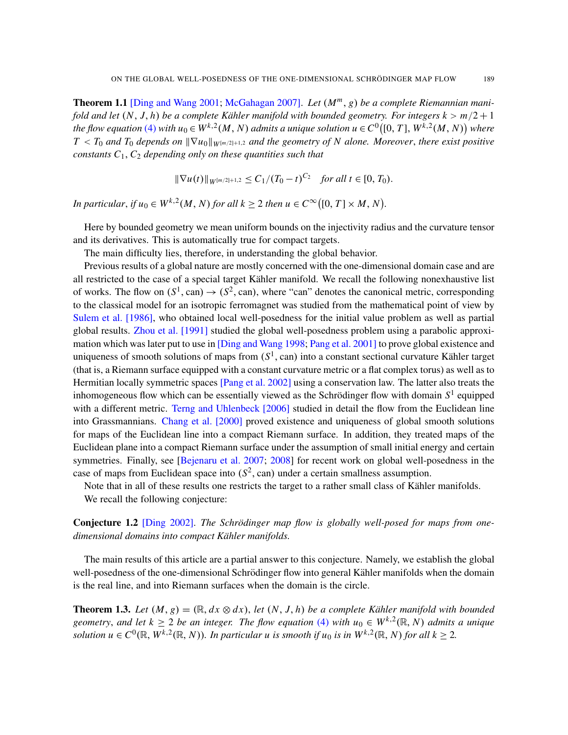The[orem](#page-2-1) 1.1 [Ding and Wang 2001; McGahagan 2007]. *Let* (*Mm*, *g*) *be a complete Riemannian manifold and let*  $(N, J, h)$  *be a complete Kähler manifold with bounded geometry. For integers*  $k > m/2 + 1$ the flow equation (4) with  $u_0 \in W^{k,2}(M,N)$  admits a unique solution  $u \in C^0([0,T], W^{k,2}(M,N))$  where  $T < T_0$  *and*  $T_0$  *depends on*  $\|\nabla u_0\|_{W^{[m/2]+1,2}}$  *and the geometry of N alone. Moreover, there exist positive constants C*1,*C*<sup>2</sup> *depending only on these quantities such that*

$$
\|\nabla u(t)\|_{W^{[m/2]+1,2}} \leq C_1/(T_0-t)^{C_2} \quad \text{for all } t \in [0,T_0).
$$

*In particular, if*  $u_0 \in W^{k,2}(M, N)$  *for all k*  $\geq 2$  *then u*  $\in C^\infty([0, T] \times M, N)$ *.* 

Here by bounded geometry we mean uniform bounds on the injectivity radius and the curvature tensor and its derivatives. This is automatically true for compact targets.

The main difficulty lies, therefore, in understanding the global behavior.

Previous results of a global nature are mostly concerned with the one-dimensional domain case and are all restricted to the case of a special target Kähler manifold. We recall the following nonexhaustive list [of wor](#page-23-5)ks. The flow on  $(S^1, can) \to (S^2, can)$ , where "can" denotes the canonical metric, corresponding to [the classical mode](#page-23-6)l for an isotropic ferromagnet was studied from the mathematical point of view by Sulem et al. [1986], w[ho obtained local well](#page-22-1)[-posedness for th](#page-23-7)e initial value problem as well as partial global results. Zhou et al. [1991] studied the global well-posedness problem using a parabolic approximation which was later put to use in [Ding and Wang 1998; Pang et al. 2001] to prove global existence and uniqueness of smooth s[olutions of maps](#page-23-8) from  $(S^1, can)$  into a constant sectional curvature Kähler target (that is, a Riemann surface equipped with a constant curvature metric or a flat complex torus) as well as to Hermitian l[ocally symmetric spaces](#page-23-1) [Pang et al. 2002] using a conservation law. The latter also treats the inhomog[eneous flow which c](#page-22-2)an be essentially viewed as the Schrödinger flow with domain  $S^1$  equipped with a different metric. Terng and Uhlenbeck [2006] studied in detail the flow from the Euclidean line into Grassmannians. Chang et al. [2000] proved existence and uniqueness of global smooth solutions for maps of t[he Euclidean line into](#page-22-3) [a com](#page-22-4)pact Riemann surface. In addition, they treated maps of the Euclidean plane into a compact Riemann surface under the assumption of small initial energy and certain symmetries. Finally, see [Bejenaru et al. 2007; 2008] for recent work on global well-posedness in the case of maps from Euclidean space into  $(S^2, can)$  under a certain smallness assumption.

Note that in all of these results one restricts the target to a rather small class of Kähler manifolds. [We recall the](#page-22-5) following conjecture:

Conjecture 1.2 [Ding 2002]. *The Schrödinger map flow is globally well-posed for maps from onedimensional domains into compact Kähler manifolds.*

<span id="page-3-0"></span>The main results of this article are a partial answer to this conjecture. Namely, we establish the global well-posedness of the one-dimensional Schrödinger flow into general Kähler manifolds when the domain is the real line, and into Riemann surfaces whe[n th](#page-2-1)e domain is the circle.

**Theorem 1.3.** Let  $(M, g) = (\mathbb{R}, dx \otimes dx)$ , let  $(N, J, h)$  be a complete Kähler manifold with bounded geometry, and let  $k \geq 2$  be an integer. The flow equation (4) with  $u_0 \in W^{k,2}(\mathbb{R}, N)$  admits a unique solution  $u \in C^0(\mathbb{R}, W^{k,2}(\mathbb{R}, N))$ . In particular u is smooth if  $u_0$  is in  $W^{k,2}(\mathbb{R}, N)$  for all  $k \geq 2$ .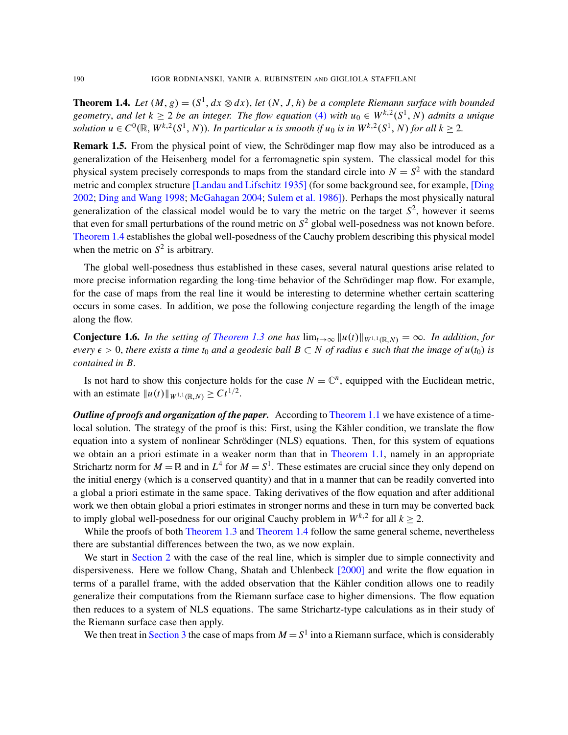<span id="page-4-0"></span>**Theorem 1.4.** Let  $(M, g) = (S^1, dx \otimes dx)$ , let  $(N, J, h)$  be a complete Riemann surface with bounded *geometry, and let*  $k \geq 2$  *be an integer. The flow equation* (4) *with*  $u_0 \in W^{k,2}(S^1, N)$  *admits a unique* solution  $u \in C^0(\mathbb{R}, W^{k,2}(S^1, N))$ . In particular u is smooth if  $u_0$  is in  $W^{k,2}(S^1, N)$  for all  $k \geq 2$ .

Remark 1.5. From the physical point of view, the Schrödinger map flow may also be introduced as a generalization of [the Heisenberg model for](#page-23-9) a ferromagnetic spin system. The classi[cal mo](#page-22-5)del for this [physical system](#page-22-1) [precisely correspo](#page-23-10)[nds to maps from](#page-23-5) the standard circle into  $N = S^2$  with the standard metric and complex structure [Landau and Lifschitz 1935] (for some background see, for example, [Ding 2002; Ding and Wang 1998; McGahagan 2004; Sulem et al. 1986]). Perhaps the most physically natural [g](#page-4-0)eneralization of the classical model would be to vary the metric on the target  $S<sup>2</sup>$ , however it seems that even for small perturbations of the round metric on *S* <sup>2</sup> global well-posedness was not known before. Theorem 1.4 establishes the global well-posedness of the Cauchy problem describing this physical model when the metric on  $S^2$  is arbitrary.

The global well-posedness thus established in these cases, several natural questions arise related to more precise information regarding the long-time behavior of the Schrödinger map flow. For example, for the case of maps from the real line it would be interesting to determine whether certain scattering occurs in some cases[. In addition,](#page-3-0) we pose the following conjecture regarding the length of the image along the flow.

**Conjecture 1.6.** *In the setting of Theorem 1.3 one has*  $\lim_{t\to\infty} ||u(t)||_{W^{1,1}(\mathbb{R},N)} = \infty$ *. In addition, for every*  $\epsilon > 0$ , *there exists a time t<sub>0</sub> and a geodesic ball*  $B \subset N$  *of radius*  $\epsilon$  *such that the image of*  $u(t_0)$  *is contained in B.*

Is not hard to show this conjecture holds for t[he case](#page-2-5)  $N = \mathbb{C}^n$ , equipped with the Euclidean metric, with an estimate  $||u(t)||_{W^{1,1}(\mathbb{R},N)} \geq Ct^{1/2}$ .

*Outline of proofs and organization of the paper.* According to Theorem 1.1 we have existence of a timelocal solution. The strategy of the proof is this: F[irst, using the](#page-2-5) Kähler condition, we translate the flow equation into a system of nonlinear Schrödinger (NLS) equations. Then, for this system of equations we obtain an a priori estimate in a weaker norm than that in Theorem 1.1, namely in an appropriate Strichartz norm for  $M = \mathbb{R}$  and in  $L^4$  for  $M = S^1$ . These estimates are crucial since they only depend on the initial energy (which is a conserved quantity) and that in a manner that can be readily converted into a global a priori estimate in the same space. Taking derivatives of the flow equation and after additional work we then [obtain global a](#page-3-0) pri[ori estimates](#page-4-0) in stronger norms and these in turn may be converted back to imply global well-posedness for our original Cauchy problem in  $W^{k,2}$  for all  $k \geq 2$ .

[While the](#page-5-0) proofs of both Theorem 1.3 and Theorem 1.4 follow the same general scheme, nevertheless there are substantial differences between the two, as [we no](#page-22-2)w explain.

We start in Section 2 with the case of the real line, which is simpler due to simple connectivity and dispersiveness. Here we follow Chang, Shatah and Uhlenbeck [2000] and write the flow equation in terms of a parallel frame, with the added observation that the Kähler condition allows one to readily generalize their computations from the Riemann surface case to higher dimensions. The flow equation then r[educes to](#page-12-0) a system of NLS equations. The same Strichartz-type calculations as in their study of the Riemann surface case then apply.

We then treat in Section 3 the case of maps from  $M = S<sup>1</sup>$  into a Riemann surface, which is considerably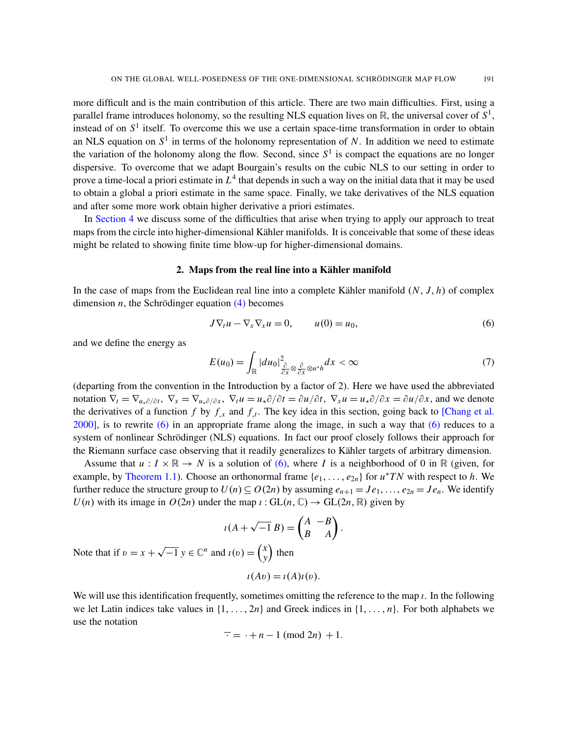more difficult and is the main contribution of this article. There are two main difficulties. First, using a parallel frame introduces holonomy, so the resulting NLS equation lives on  $\mathbb R$ , the universal cover of  $S^1$ , instead of on S<sup>1</sup> itself. To overcome this we use a certain space-time transformation in order to obtain an NLS equation on  $S^1$  in terms of the holonomy representation of N. In addition we need to estimate the variation of the holonomy along the flow. Second, since *S* 1 is compact the equations are no longer dispersive. To overcome that we adapt Bourgain's results on the cubic NLS to our setting in order to prove a time-local a priori estimate in  $L^4$  that depends in such a way on the initial data that it may be used [to](#page-21-0) obtain a global a priori estimate in the same space. Finally, we take derivatives of the NLS equation and after some more work obtain higher derivative a priori estimates.

<span id="page-5-0"></span>In Section 4 we discuss some of the difficulties that arise when trying to apply our approach to treat maps from the circle into higher-dimensional Kähler manifolds. It is conceivable that some of these ideas might be related to showing finite time blow-up for higher-dimensional domains.

#### <span id="page-5-2"></span>2[. M](#page-2-1)aps from the real line into a Kähler manifold

In the case of maps from the Euclidean real line into a complete Kähler manifold  $(N, J, h)$  of complex dimension *n*, the Schrödinger equation  $(4)$  becomes

<span id="page-5-1"></span>
$$
J\nabla_t u - \nabla_x \nabla_x u = 0, \qquad u(0) = u_0,
$$
\n(6)

and we define the energy as

$$
E(u_0) = \int_{\mathbb{R}} |du_0|_{\frac{\partial}{\partial x} \otimes \frac{\partial}{\partial x} \otimes u^*h}^2 dx < \infty \tag{7}
$$

(departing from the convention in the Introduction by a factor of 2). Here we [have used the](#page-22-2) abbreviated notation  $\nabla_t = \nabla_{u_x \partial/\partial t}$ ,  $\nabla_x = \nabla_{u_x \partial/\partial x}$ ,  $\nabla_t u = u_x \partial/\partial t = \partial u/\partial t$ ,  $\nabla_x u = u_x \partial/\partial x = \partial u/\partial x$ , and we denote the derivatives of a function  $f$  by  $f_{,x}$  and  $f_{,t}$ . The key idea in this section, going back to [Chang et al. 2000], is to rewrite (6) in an appropriate frame along the image, in such a way that (6) reduces to a system of nonlinear Schrödinger (N[LS\)](#page-5-1) equations. In fact our proof closely follows their approach for [the Riemann](#page-2-5) surface case observing that it readily generalizes to Kahler targets of arbitrary dimension. ¨

Assume that  $u : I \times \mathbb{R} \to N$  is a solution of (6), where *I* is a neighborhood of 0 in  $\mathbb{R}$  (given, for example, by Theorem 1.1). Choose an orthonormal frame  $\{e_1, \ldots, e_{2n}\}$  for  $u^*TN$  with respect to *h*. We further reduce the structure group to  $U(n) \subseteq O(2n)$  by assuming  $e_{n+1} = Je_1, \ldots, e_{2n} = Je_n$ . We identify  $U(n)$  with its image in  $O(2n)$  under the map  $\iota$ :  $GL(n, \mathbb{C}) \rightarrow GL(2n, \mathbb{R})$  given by

$$
i(A + \sqrt{-1} B) = \begin{pmatrix} A & -B \\ B & A \end{pmatrix}.
$$

Note that if  $v = x +$ √  $\overline{-1} y \in \mathbb{C}^n$  and  $\iota(v) = \begin{pmatrix} x \\ y \end{pmatrix}$ *y*  $\int$  then

$$
i(Av) = i(A)i(v).
$$

We will use this identification frequently, sometimes omitting the reference to the map  $\iota$ . In the following we let Latin indices take values in  $\{1, \ldots, 2n\}$  and Greek indices in  $\{1, \ldots, n\}$ . For both alphabets we use the notation

$$
\overline{\cdot} = \cdot + n - 1 \pmod{2n} + 1.
$$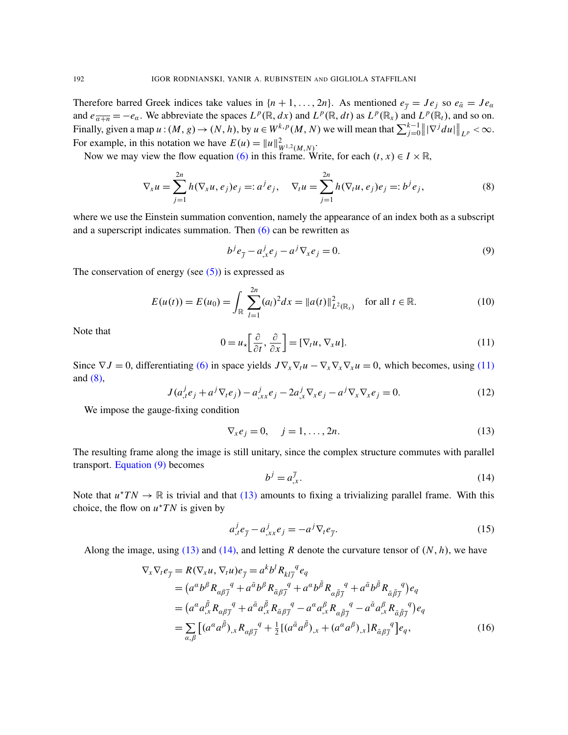Therefore barred Greek indices take values in  $\{n+1,\ldots,2n\}$ . As mentioned  $e_{\bar{i}} = Je_i$  so  $e_{\bar{a}} = Je_a$ and  $e_{\overline{\alpha+n}} = -e_{\alpha}$ . We abbreviate the spaces  $L^p(\mathbb{R}, dx)$  and  $L^p(\mathbb{R}, dt)$  as  $L^p(\mathbb{R}_x)$  and  $L^p(\mathbb{R}_t)$ , and so on. Finally, [g](#page-5-1)iven a map  $u:(M, g) \to (N, h)$ , by  $u \in W^{k,p}(M, N)$  we will mean that  $\sum_{j=0}^{k-1} ||\nabla^j du||_{L^p} < \infty$ . For example, in this notation we have  $E(u) = ||u||_{W^{1,2}(M,N)}^2$ .

Now we may view the flow equation (6) in this frame. Write, for each  $(t, x) \in I \times \mathbb{R}$ ,

$$
\nabla_x u = \sum_{j=1}^{2n} h(\nabla_x u, e_j) e_j =: a^j e_j, \quad \nabla_t u = \sum_{j=1}^{2n} h(\nabla_t u, e_j) e_j =: b^j e_j,
$$
\n(8)

where we use the Einstein summation convention, namely the appearance of an index both as a subscript and a superscript indicates summation. Then  $(6)$  can be rewritten as

<span id="page-6-4"></span><span id="page-6-2"></span><span id="page-6-1"></span>
$$
b^{j}e_{j} - a_{,x}^{j}e_{j} - a^{j}\nabla_{x}e_{j} = 0.
$$
\n(9)

The conservation of energy (see  $(5)$ ) is expressed as

$$
E(u(t)) = E(u_0) = \int_{\mathbb{R}} \sum_{l=1}^{2n} (a_l)^2 dx = ||a(t)||_{L^2(\mathbb{R}_x)}^2 \quad \text{for all } t \in \mathbb{R}.
$$
 (10)

Note that

$$
0 = u_{\star} \left[ \frac{\partial}{\partial t}, \frac{\partial}{\partial x} \right] = [\nabla_t u, \nabla_x u]. \tag{11}
$$

Since  $\nabla J = 0$ , differentiating (6) in space yields  $J\nabla_x \nabla_x u - \nabla_x \nabla_x \nabla_x u = 0$ , which becomes, using (11) and (8),

<span id="page-6-0"></span>
$$
J(a_j^j e_j + a^j \nabla_i e_j) - a_{,xx}^j e_j - 2a_{,x}^j \nabla_x e_j - a^j \nabla_x \nabla_x e_j = 0.
$$
 (12)

We impose the gauge-fixing condition

<span id="page-6-3"></span>
$$
\nabla_x e_j = 0, \quad j = 1, \dots, 2n. \tag{13}
$$

The resulting frame along the image is still unitary, since the complex structure commutes with parallel transport. Equation (9) beco[mes](#page-6-0)

$$
b^j = a_{,x}^j. \tag{14}
$$

Note that  $u^*TN \to \mathbb{R}$  is trivial and that (13) amounts to fixing a trivializing parallel frame. With this choice, the flow on  $u^*TN$  is given by

$$
a_{,i}^{j}e_{\bar{j}} - a_{,xx}^{j}e_{j} = -a^{j}\nabla_{i}e_{\bar{j}}.
$$
 (15)

Along the image, using (13) and (14), and letting *R* denote the curvature tensor of  $(N, h)$ , we have

$$
\nabla_{x} \nabla_{t} e_{\bar{j}} = R(\nabla_{x} u, \nabla_{t} u) e_{\bar{j}} = a^{k} b^{l} R_{kl\bar{j}}{}^{q} e_{q}
$$
  
\n
$$
= (a^{\alpha} b^{\beta} R_{\alpha\beta\bar{j}}{}^{q} + a^{\bar{\alpha}} b^{\beta} R_{\bar{\alpha}\beta\bar{j}}{}^{q} + a^{\alpha} b^{\bar{\beta}} R_{\alpha\bar{\beta}\bar{j}}{}^{q} + a^{\bar{\alpha}} b^{\bar{\beta}} R_{\bar{\alpha}\bar{\beta}\bar{j}}{}^{q} + a^{\bar{\alpha}} b^{\bar{\beta}} R_{\bar{\alpha}\bar{\beta}\bar{j}}{}^{q} + a^{\bar{\alpha}} b^{\bar{\beta}} R_{\bar{\alpha}\bar{\beta}\bar{j}}{}^{q} + a^{\bar{\alpha}} a^{\bar{\beta}} k_{\alpha\bar{\beta}\bar{j}}{}^{q} + a^{\bar{\alpha}} a^{\bar{\beta}} k_{\alpha\bar{\beta}\bar{j}}{}^{q} - a^{\bar{\alpha}} a^{\beta}_{,x} R_{\bar{\alpha}\bar{\beta}\bar{j}}{}^{q} + a^{\bar{\alpha}} a^{\bar{\beta}} k_{\alpha\bar{\beta}\bar{j}}{}^{q} + a^{\bar{\alpha}} a^{\bar{\beta}} k_{\alpha\bar{\beta}\bar{j}}{}^{q} - a^{\bar{\alpha}} a^{\beta}_{,x} R_{\bar{\alpha}\bar{\beta}\bar{j}}{}^{q} + a^{\bar{\alpha}} a^{\bar{\beta}} k_{\alpha\bar{\beta}\bar{j}}{}^{q} + a^{\bar{\alpha}} a^{\bar{\beta}} k_{\alpha\bar{\beta}\bar{j}}{}^{q} + a^{\bar{\alpha}} a^{\bar{\beta}} k_{\alpha\bar{\beta}\bar{j}}{}^{q} + a^{\bar{\alpha}} a^{\bar{\beta}} k_{\alpha\bar{\beta}\bar{j}}{}^{q} + a^{\bar{\alpha}} a^{\bar{\beta}} k_{\alpha\bar{\beta}\bar{j}}{}^{q} + a^{\bar{\alpha}} a^{\bar{\beta}} k_{\alpha\bar{\beta}\bar{j}}{}^{q} + a^{\bar{\alpha}} a^{\bar{\beta}} k_{\alpha\bar{\beta}\bar{j}}{}^{q} + a^{\bar{\alpha}} a^{\bar{\beta}} k_{\alpha\bar{\beta}\bar{j}}{}^{q} + a^{\bar{\alpha}} a^{\bar{\beta}} k_{\alpha\bar{\beta}\bar{j}}{}^{q} + a^{\bar{\alpha}} a^{\bar{\beta}} k_{\alpha\bar{\beta}\bar
$$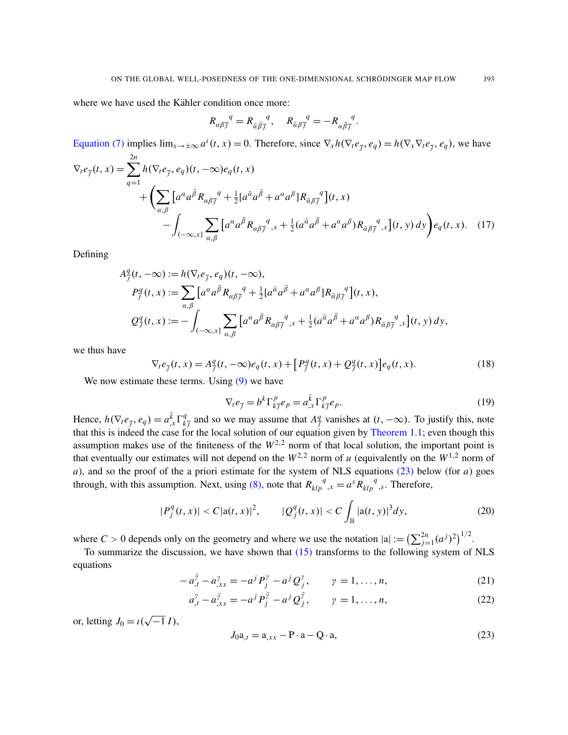[w](#page-5-2)here we have used the Kähler condition once more:

$$
R_{\alpha\beta\overline{j}}^q = R_{\overline{\alpha}\overline{\beta}\overline{j}}^q, \quad R_{\overline{\alpha}\beta\overline{j}}^q = -R_{\alpha\overline{\beta}\overline{j}}^q.
$$

Equation (7) implies  $\lim_{x\to\pm\infty} a^i(t, x) = 0$ . Therefore, since  $\nabla_x h(\nabla_t e_{\bar{f}}, e_q) = h(\nabla_x \nabla_t e_{\bar{f}}, e_q)$ , we have

$$
\nabla_{t} e_{\overline{J}}(t, x) = \sum_{q=1}^{2n} h(\nabla_{t} e_{\overline{J}}, e_{q})(t, -\infty) e_{q}(t, x) \n+ \left( \sum_{\alpha, \beta} \left[ a^{\alpha} a^{\overline{\beta}} R_{\alpha \beta \overline{J}}^{q} + \frac{1}{2} \left[ a^{\overline{\alpha}} a^{\overline{\beta}} + a^{\alpha} a^{\beta} \right] R_{\overline{\alpha} \beta \overline{J}}^{q} \right](t, x) \n- \int_{(-\infty, x]} \sum_{\alpha, \beta} \left[ a^{\alpha} a^{\overline{\beta}} R_{\alpha \beta \overline{J}}^{q}, x + \frac{1}{2} (a^{\overline{\alpha}} a^{\overline{\beta}} + a^{\alpha} a^{\beta}) R_{\overline{\alpha} \beta \overline{J}}^{q}, x \right](t, y) dy \right) e_{q}(t, x).
$$
\n(17)

Defining

$$
A_{\bar{j}}^{q}(t, -\infty) := h(\nabla_{t}e_{\bar{j}}, e_{q})(t, -\infty),
$$
  
\n
$$
P_{\bar{j}}^{q}(t, x) := \sum_{\alpha, \beta} \left[a^{\alpha} a^{\bar{\beta}} R_{\alpha\beta\bar{j}}^{q} + \frac{1}{2} [a^{\bar{\alpha}} a^{\bar{\beta}} + a^{\alpha} a^{\beta}] R_{\bar{\alpha}\beta\bar{j}}^{q} \right](t, x),
$$
  
\n
$$
Q_{\bar{j}}^{q}(t, x) := - \int_{(-\infty, x]} \sum_{\alpha, \beta} \left[a^{\alpha} a^{\bar{\beta}} R_{\alpha\beta\bar{j}}^{q}, x + \frac{1}{2} (a^{\bar{\alpha}} a^{\bar{\beta}} + a^{\alpha} a^{\beta}) R_{\bar{\alpha}\beta\bar{j}}^{q}, x \right](t, y) dy,
$$

we thus have

$$
\nabla_t e_{\bar{J}}(t, x) = A^q_{\bar{J}}(t, -\infty) e_q(t, x) + \left[ P^q_{\bar{J}}(t, x) + Q^q_{\bar{J}}(t, x) \right] e_q(t, x).
$$
\n(18)

We now estimate these terms. Using (9) we have

<span id="page-7-2"></span><span id="page-7-1"></span>
$$
\nabla_t e_{\bar{j}} = b^k \Gamma^p_{k\bar{j}} e_p = a^{\bar{k}}_{,x} \Gamma^p_{k\bar{j}} e_p. \tag{19}
$$

Hence,  $h(\nabla_t e_{\bar{j}}, e_q) = a_{,x}^{\bar{k}} \Gamma_k^q$  $\frac{q}{k}$  and so we may assume that  $A^q$ <sub>J</sub> vanishes at  $(t, -∞)$ . To justify this, note that this is indeed the case for the local solution of our equation given by Theorem 1.1; even though this assumption makes use of the finiteness of the  $W^{2,2}$  norm of that [local](#page-7-0) solution, the important point is that eventually our estimates [will n](#page-6-1)ot depend on the  $W^{2,2}$  norm of *u* (equivalently on the  $W^{1,2}$  norm of *a*), and so the proof of the a priori estimate for the system of NLS equations (23) below (for *a*) goes through, with this assumption. Next, using (8), note that  $R_{klp}^{q}$ ,  $a = a^{s} R_{klp}^{q}$ , Therefore,

$$
|P_j^q(t,x)| < C|a(t,x)|^2, \qquad |Q_j^q(t,x)| < C \int_{\mathbb{R}} |a(t,y)|^3 dy,\tag{20}
$$

where  $C > 0$  depends only on the geometry and where we use the notation  $|a| := (\sum_{j=1}^{2n} (a^j)^2)^{1/2}$ .

To summarize the discussion, we have shown that (15) transforms to the following system of NLS equations

<span id="page-7-0"></span>
$$
-a_{,t}^{\bar{\gamma}} - a_{,xx}^{\gamma} = -a^j P_j^{\gamma} - a^j Q_j^{\gamma}, \qquad \gamma = 1, ..., n,
$$
 (21)

$$
a_{,t}^{\gamma} - a_{,xx}^{\bar{\gamma}} = -a^j P_j^{\bar{\gamma}} - a^j Q_j^{\bar{\gamma}}, \qquad \gamma = 1, \dots, n,
$$
 (22)

or, letting  $J_0 = i(\sqrt{-1} I)$ ,

$$
J_0 a_{,t} = a_{,xx} - P \cdot a - Q \cdot a,\tag{23}
$$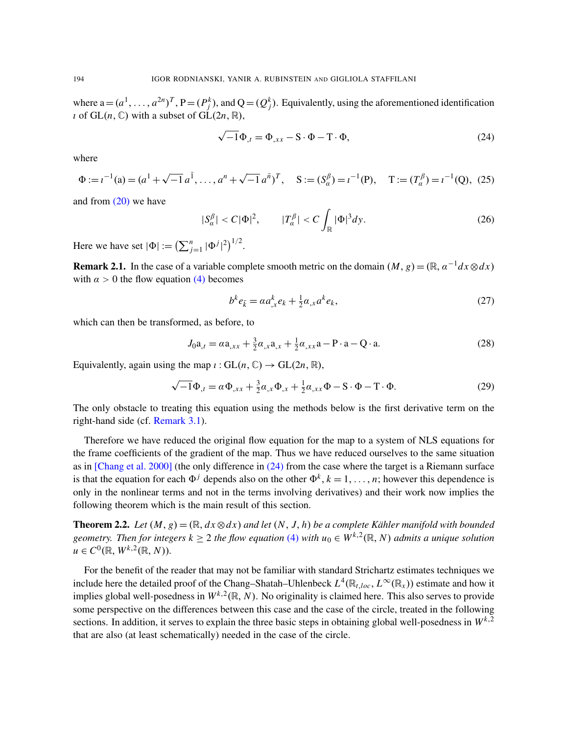where  $a = (a^1, \ldots, a^{2n})^T$ ,  $P = (P_j^k)$ , and  $Q = (Q_j^k)$ . Equivalently, using the aforementioned identification  $\iota$  of  $GL(n, \mathbb{C})$  with a subset of  $GL(2n, \mathbb{R})$ ,

<span id="page-8-0"></span>
$$
\sqrt{-1}\Phi_{,t} = \Phi_{,xx} - S \cdot \Phi - T \cdot \Phi,
$$
\n(24)

where

$$
\Phi := i^{-1}(\mathbf{a}) = (a^1 + \sqrt{-1} a^{\bar{1}}, \dots, a^n + \sqrt{-1} a^{\bar{n}})^T, \quad \mathbf{S} := (S^{\beta}_{\alpha}) = i^{-1}(\mathbf{P}), \quad \mathbf{T} := (T^{\beta}_{\alpha}) = i^{-1}(\mathbf{Q}), \tag{25}
$$

and from  $(20)$  we have

$$
|S_{\alpha}^{\beta}| < C|\Phi|^2, \qquad |T_{\alpha}^{\beta}| < C \int_{\mathbb{R}} |\Phi|^3 dy. \tag{26}
$$

Here we have set  $|\Phi| := (\sum_{j=1}^n |\Phi^j|^2)^{1/2}$ .

**Remark 2.1.** In the case of a variable complete smooth metric on the domain  $(M, g) = (\mathbb{R}, a^{-1}dx \otimes dx)$ with  $\alpha > 0$  the flow equation (4) becomes

$$
b^k e_{\bar{k}} = a a_{,x}^k e_k + \frac{1}{2} a_{,x} a^k e_k,\tag{27}
$$

which can then be transformed, as before, to

$$
J_0 a_{,t} = \alpha a_{,xx} + \frac{3}{2}\alpha_{,x} a_{,x} + \frac{1}{2}\alpha_{,xx} a - P \cdot a - Q \cdot a.
$$
 (28)

Equivalently, again using the map  $\iota : GL(n, \mathbb{C}) \to GL(2n, \mathbb{R})$ ,

$$
\sqrt{-1}\Phi_{,t} = \alpha\Phi_{,xx} + \frac{3}{2}\alpha_{,x}\Phi_{,x} + \frac{1}{2}\alpha_{,xx}\Phi - S\cdot\Phi - T\cdot\Phi.
$$
 (29)

The only obstacle to treating this equation using the methods below is the first derivative term on the right-hand side (cf. Remark 3.1).

[Therefor](#page-22-2)e we have reduced the [origin](#page-8-0)al flow equation for the map to a system of NLS equations for the frame coefficients of the gradient of the map. Thus we have reduced ourselves to the same situation as in [Chang et al. 2000] (the only difference in (24) from the case where the target is a Riemann surface is that the equation for each  $\Phi^j$  depends also on the other  $\Phi^k$ ,  $k = 1, \ldots, n$ ; however this dependence is only in the nonlinear terms and not in the terms involving derivatives) and their work now implies the following theorem which is the main re[sult](#page-2-1) of this section.

<span id="page-8-1"></span>**Theorem 2.2.** *Let*  $(M, g) = (\mathbb{R}, dx \otimes dx)$  *and let*  $(N, J, h)$  *be a complete Kähler manifold with bounded* geometry. Then for integers  $k \geq 2$  the flow equation (4) with  $u_0 \in W^{k,2}(\mathbb{R}, N)$  admits a unique solution  $u \in C^0(\mathbb{R}, W^{k,2}(\mathbb{R}, N)).$ 

For the benefit of the reader that may not be familiar with standard Strichartz estimates techniques we include here the detailed proof of the Chang–Shatah–Uhlenbeck  $L^4(\mathbb{R}_{t, loc}, L^\infty(\mathbb{R}_x))$  estimate and how it implies global well-posedness in  $W^{k,2}(\mathbb{R}, N)$ . No originality is claimed here. This also serves to provide some perspective on the differences between this case and the case of the circle, treated in the following sections. In addition, it serves to explain the three basic steps in obtaining global well-posedness in *Wk*,<sup>2</sup> that are also (at least schematically) needed in the case of the circle.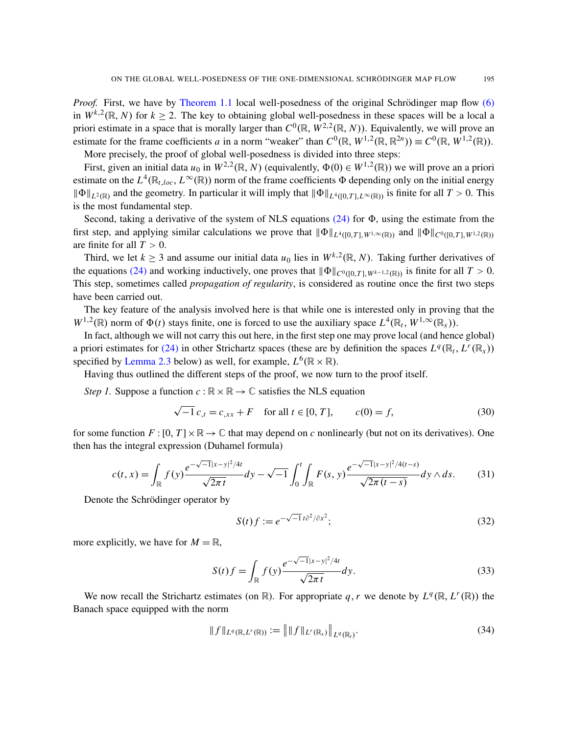*Proof.* First, we have by Theorem 1.1 local well-posedness of the original Schrödinger map flow  $(6)$ in  $W^{k,2}(\mathbb{R}, N)$  for  $k \ge 2$ . The key to obtaining global well-posedness in these spaces will be a local a priori estimate in a space that is morally larger than  $C^0(\mathbb{R}, W^{2,2}(\mathbb{R}, N))$ . Equivalently, we will prove an estimate for the frame coefficients *a* in a norm "weaker" than  $C^0(\mathbb{R}, W^{1,2}(\mathbb{R}, \mathbb{R}^{2n})) \equiv C^0(\mathbb{R}, W^{1,2}(\mathbb{R}))$ .

More precisely, the proof of global well-posedness is divided into three steps:

First, given an initial data  $u_0$  in  $W^{2,2}(\mathbb{R}, N)$  (equivalently,  $\Phi(0) \in W^{1,2}(\mathbb{R})$ ) we will prove an a priori estimate on the  $L^4(\mathbb{R}_{t,loc}, L^\infty(\mathbb{R}))$  norm of the frame coefficients  $\Phi$  depending only on the initial energy  $\|\Phi\|_{L^2(\mathbb{R})}$  and the geometry. In particular it will im[ply th](#page-8-0)at  $\|\Phi\|_{L^4([0,T],L^\infty(\mathbb{R}))}$  is finite for all  $T > 0$ . This is the most fundamental step.

Second, taking a derivative of the system of NLS equations  $(24)$  for  $\Phi$ , using the estimate from the first step, and applying similar calculations we prove that  $\|\Phi\|_{L^4([0,T],W^{1,\infty}(\mathbb{R}))}$  and  $\|\Phi\|_{C^0([0,T],W^{1,2}(\mathbb{R}))}$ a[re fin](#page-8-0)ite for all *T* > 0.

Third, we let  $k \geq 3$  and assume our initial data  $u_0$  lies in  $W^{k,2}(\mathbb{R}, N)$ . Taking further derivatives of the equations (24) and working inductively, one proves that  $\|\Phi\|_{C^0([0,T], W^{k-1,2}(\mathbb{R}))}$  is finite for all  $T > 0$ . This step, sometimes called *propagation of regularity*, is considered as routine once the first two steps have been carried out.

The key feature of the analysis involved here is that while one is interested only in proving that the  $W^{1,2}(\mathbb{R})$  [norm](#page-8-0) of  $\Phi(t)$  stays finite, one is forced to use the auxiliary space  $L^4(\mathbb{R}_t, W^{1,\infty}(\mathbb{R}_x))$ .

[In fact, al](#page-9-0)though we will not carry this out here, in the first step one may prove local (and hence global) a priori estimates for (24) in other Strichartz spaces (these are by definition the spaces  $L^q(\mathbb{R}_t, L^r(\mathbb{R}_x))$ specified by Lemma 2.3 below) as well, for example,  $L^6(\mathbb{R} \times \mathbb{R})$ .

Having thus outlined the different steps of the proof, we now turn to the proof itself.

*Step 1.* Suppose a function  $c : \mathbb{R} \times \mathbb{R} \to \mathbb{C}$  satisfies the NLS equation

<span id="page-9-2"></span><span id="page-9-1"></span>
$$
\sqrt{-1} \, c_{,t} = c_{,xx} + F \quad \text{for all } t \in [0, T], \qquad c(0) = f,\tag{30}
$$

for some function  $F : [0, T] \times \mathbb{R} \to \mathbb{C}$  that may depend on *c* nonlinearly (but not on its derivatives). One then has the integral expression (Duhamel formula)

$$
c(t,x) = \int_{\mathbb{R}} f(y) \frac{e^{-\sqrt{-1}|x-y|^2/4t}}{\sqrt{2\pi t}} dy - \sqrt{-1} \int_0^t \int_{\mathbb{R}} F(s,y) \frac{e^{-\sqrt{-1}|x-y|^2/4(t-s)}}{\sqrt{2\pi (t-s)}} dy \wedge ds.
$$
 (31)

Denote the Schrödinger operator by

$$
S(t)f := e^{-\sqrt{-1}t\partial^2/\partial x^2};
$$
\n(32)

more explicitly, we have for  $M = \mathbb{R}$ ,

$$
S(t)f = \int_{\mathbb{R}} f(y) \frac{e^{-\sqrt{-1}|x-y|^2/4t}}{\sqrt{2\pi t}} dy.
$$
 (33)

<span id="page-9-0"></span>We now recall the Strichartz estimates (on  $\mathbb{R}$ ). For appropriate q, r we denote by  $L^{q}(\mathbb{R}, L^{r}(\mathbb{R}))$  the Banach space equipped with the norm

$$
||f||_{L^{q}(\mathbb{R},L^{r}(\mathbb{R}))} := ||f||_{L^{r}(\mathbb{R}_{x})}||_{L^{q}(\mathbb{R}_{t})}.
$$
\n(34)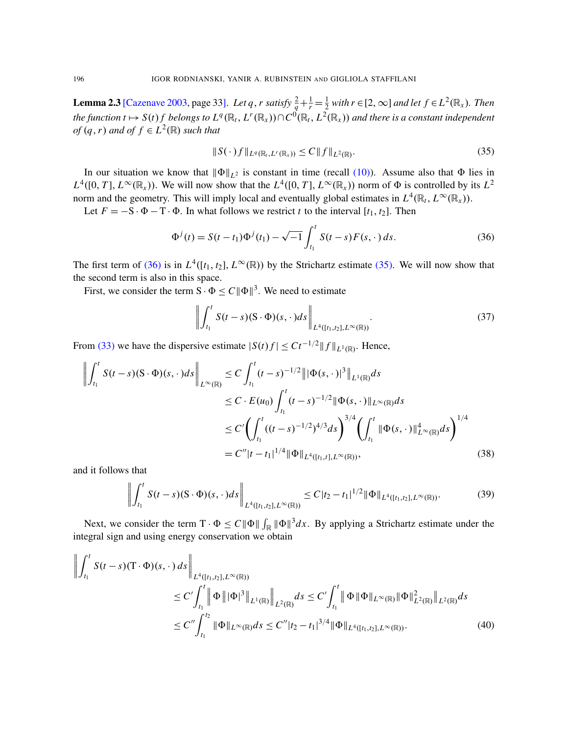**Lemma 2.3** [Cazenave 2003, page 33]. *Let q, r satisfy*  $\frac{2}{q} + \frac{1}{r} = \frac{1}{2}$  $\frac{1}{2}$  with *r* ∈ [2, ∞] *and let*  $f$  ∈  $L^2(\mathbb{R}_x)$ *. Then* the function  $t\mapsto S(t)$   $f$  belongs to  $L^q(\mathbb R_t,L^r(\mathbb R_x))\cap C^0(\mathbb R_t,L^2(\mathbb R_x))$  and there is a constant independent  $of (q, r)$  *and of*  $f \in L^2(\mathbb{R})$  *such that* 

<span id="page-10-0"></span>
$$
||S(\cdot)f||_{L^{q}(\mathbb{R}_{t},L^{r}(\mathbb{R}_{x}))} \leq C||f||_{L^{2}(\mathbb{R})}.
$$
\n(35)

In our situation we know that  $\|\Phi\|_{L^2}$  is constant in time (recall (10)). Assume also that  $\Phi$  lies in  $L^4([0, T], L^\infty(\mathbb{R}_x))$ . We will now show that the  $L^4([0, T], L^\infty(\mathbb{R}_x))$  norm of  $\Phi$  is controlled by its  $L^2$ norm and the geometry. This will imply local and eventually global estimates in  $L^4(\mathbb{R}_t, L^\infty(\mathbb{R}_x))$ .

Let  $F = -S \cdot \Phi - T \cdot \Phi$ . In what follows we restrict *t* to the interval [ $t_1, t_2$ ]. Then

$$
\Phi^{j}(t) = S(t - t_{1})\Phi^{j}(t_{1}) - \sqrt{-1} \int_{t_{1}}^{t} S(t - s)F(s, \cdot) ds.
$$
\n(36)

The first term of (36) is in  $L^4([t_1, t_2], L^\infty(\mathbb{R}))$  by the Strichartz estimate (35). We will now show that the second term is also in this space.

First, we consider the term  $S \cdot \Phi \le C ||\Phi||^3$ . We need to estimate

$$
\left\| \int_{t_1}^t S(t-s)(S \cdot \Phi)(s,\cdot) ds \right\|_{L^4([t_1,t_2],L^\infty(\mathbb{R}))}.
$$
\n(37)

From (33) we have the dispersive estimate  $|S(t)f| \leq Ct^{-1/2} ||f||_{L^1(\mathbb{R})}$ . Hence,

$$
\left\| \int_{t_1}^t S(t-s)(S \cdot \Phi)(s, \cdot) ds \right\|_{L^{\infty}(\mathbb{R})} \leq C \int_{t_1}^t (t-s)^{-1/2} \left\| |\Phi(s, \cdot)|^3 \right\|_{L^1(\mathbb{R})} ds
$$
  
\n
$$
\leq C \cdot E(u_0) \int_{t_1}^t (t-s)^{-1/2} \|\Phi(s, \cdot)\|_{L^{\infty}(\mathbb{R})} ds
$$
  
\n
$$
\leq C' \left( \int_{t_1}^t ((t-s)^{-1/2})^{4/3} ds \right)^{3/4} \left( \int_{t_1}^t \|\Phi(s, \cdot)\|_{L^{\infty}(\mathbb{R})}^4 ds \right)^{1/4}
$$
  
\n
$$
= C'' |t - t_1|^{1/4} \|\Phi\|_{L^4([t_1, t], L^{\infty}(\mathbb{R}))}, \tag{38}
$$

and it follows that

<span id="page-10-1"></span>
$$
\left\| \int_{t_1}^t S(t-s)(S \cdot \Phi)(s,\cdot) ds \right\|_{L^4([t_1,t_2],L^\infty(\mathbb{R}))} \leq C|t_2-t_1|^{1/2} \|\Phi\|_{L^4([t_1,t_2],L^\infty(\mathbb{R}))}. \tag{39}
$$

Next, we consider the term  $T \cdot \Phi \leq C \|\Phi\| \int_{\mathbb{R}} \|\Phi\|^3 dx$ . By applying a Strichartz estimate under the integral sign and using energy conservation we obtain

$$
\left\| \int_{t_1}^t S(t-s)(\mathbf{T} \cdot \Phi)(s, \cdot) ds \right\|_{L^4([t_1, t_2], L^{\infty}(\mathbb{R}))}
$$
  
\n
$$
\leq C' \int_{t_1}^t \left\| \Phi \right\| |\Phi|^3 \right\|_{L^1(\mathbb{R})} \left\| \int_{L^2(\mathbb{R})} ds \leq C' \int_{t_1}^t \left\| \Phi \right\| \Phi \right\|_{L^{\infty}(\mathbb{R})} \left\| \Phi \right\|_{L^2(\mathbb{R})}^2 \left\| \int_{L^2(\mathbb{R})} ds \right\|
$$
  
\n
$$
\leq C'' \int_{t_1}^{t_2} \left\| \Phi \right\|_{L^{\infty}(\mathbb{R})} ds \leq C'' \left| t_2 - t_1 \right|^{3/4} \left\| \Phi \right\|_{L^4([t_1, t_2], L^{\infty}(\mathbb{R}))}. \tag{40}
$$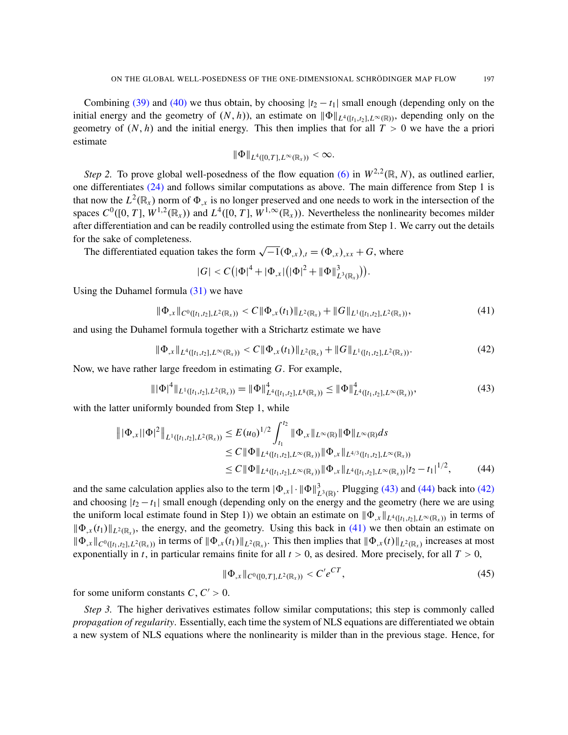Combining (39) and (40) we thus obtain, by choosing  $|t_2 - t_1|$  small enough (depending only on the initial energy and the geometry of  $(N, h)$ ), an estimate on  $\|\Phi\|_{L^4([t_1,t_2],L^\infty(\mathbb{R}))}$ , depending only on the geometry of  $(N, h)$  and the initial energy. This then implies that for all  $T > 0$  we have the a priori estimate

$$
\|\Phi\|_{L^4([0,T],L^\infty(\mathbb{R}_x))}<\infty.
$$

*Step 2.* To prove global well-posedness of the flow equation (6) in  $W^{2,2}(\mathbb{R}, N)$ , as outlined earlier, one differentiates (24) and follows similar computations as above. The main difference from Step 1 is that now the  $L^2(\mathbb{R}_x)$  norm of  $\Phi_{,x}$  is no longer preserved and one needs to work in the intersection of the spaces  $C^0([0, T], W^{1,2}(\mathbb{R}_x))$  and  $L^4([0, T], W^{1,\infty}(\mathbb{R}_x))$ . Nevertheless the nonlinearity becomes milder after differentiation and can be readily controlled using the estimate from Step 1. We carry out the details for the sake of completeness.

The different[iated](#page-9-1) equation takes the form  $\sqrt{-1}(\Phi_{,x})$ ,  $t = (\Phi_{,x})$ ,  $xx + G$ , where

<span id="page-11-3"></span><span id="page-11-2"></span><span id="page-11-0"></span>
$$
|G| < C \big( |\Phi|^4 + |\Phi_{,x}| \big( |\Phi|^2 + ||\Phi||^3_{L^3(\mathbb{R}_x)} \big) \big).
$$

Using the Duhamel formula  $(31)$  we have

$$
\|\Phi_{,x}\|_{C^0([t_1,t_2],L^2(\mathbb{R}_x))} < C \|\Phi_{,x}(t_1)\|_{L^2(\mathbb{R}_x)} + \|G\|_{L^1([t_1,t_2],L^2(\mathbb{R}_x))},\tag{41}
$$

and using the Duhamel formula together with a Strichartz estimate we have

<span id="page-11-1"></span>
$$
\|\Phi_{,x}\|_{L^4([t_1,t_2],L^\infty(\mathbb{R}_x))} < C \|\Phi_{,x}(t_1)\|_{L^2(\mathbb{R}_x)} + \|G\|_{L^1([t_1,t_2],L^2(\mathbb{R}_x))}.\tag{42}
$$

Now, we have rather large freedom in estimating *G*. For example,

$$
\|\|\Phi\|^4\|_{L^1([t_1,t_2],L^2(\mathbb{R}_x))} = \|\Phi\|^4_{L^4([t_1,t_2],L^8(\mathbb{R}_x))} \le \|\Phi\|^4_{L^4([t_1,t_2],L^\infty(\mathbb{R}_x))},\tag{43}
$$

with the latter uniformly bounded from Step 1, while

$$
\begin{split} \left\| |\Phi_{,x}| |\Phi|^{2} \right\|_{L^{1}([t_{1},t_{2}],L^{2}(\mathbb{R}_{x}))} &\leq E(u_{0})^{1/2} \int_{t_{1}}^{t_{2}} \|\Phi_{,x}\|_{L^{\infty}(\mathbb{R})} \|\Phi\|_{L^{\infty}(\mathbb{R})} ds \\ &\leq C \|\Phi\|_{L^{4}([t_{1},t_{2}],L^{\infty}(\mathbb{R}_{x}))} \|\Phi_{,x}\|_{L^{4/3}([t_{1},t_{2}],L^{\infty}(\mathbb{R}_{x}))} \\ &\leq C \|\Phi\|_{L^{4}([t_{1},t_{2}],L^{\infty}(\mathbb{R}_{x}))} \|\Phi_{,x}\|_{L^{4}([t_{1},t_{2}],L^{\infty}(\mathbb{R}_{x}))} |t_{2}-t_{1}|^{1/2}, \end{split} \tag{44}
$$

and the same calculation applies also to the term  $|\Phi_{,x}| \cdot ||\Phi||^3$  $L^3_{L^3(\mathbb{R})}$ . Plugging (43) and (44) back into (42) and choosing  $|t_2 - t_1|$  small enough (depending only o[n the](#page-11-3) energy and the geometry (here we are using the uniform local estimate found in Step 1)) we obtain an estimate on  $\|\Phi_{,x}\|_{L^4([t_1,t_2],L^\infty(\mathbb{R}_x))}$  in terms of  $\|\Phi_{,x}(t_1)\|_{L^2(\mathbb{R}_x)}$ , the energy, and the geometry. Using this back in (41) we then obtain an estimate on  $\|\Phi_{,x}\|_{C^0([t_1,t_2],L^2(\mathbb{R}_x))}$  in terms of  $\|\Phi_{,x}(t_1)\|_{L^2(\mathbb{R}_x)}$ . This then implies that  $\|\Phi_{,x}(t)\|_{L^2(\mathbb{R}_x)}$  increases at most exponentially in *t*, in particular remains finite for all  $t > 0$ , as desired. More precisely, for all  $T > 0$ ,

$$
\|\Phi_{,x}\|_{C^0([0,T],L^2(\mathbb{R}_x))} < C'e^{CT},\tag{45}
$$

for some uniform constants  $C, C' > 0$ .

*Step 3.* The higher derivatives estimates follow similar computations; this step is commonly called *propagation of regularity*. Essentially, each time the system of NLS equations are differentiated we obtain a new system of NLS equations where the nonlinearity is milder than in the previous stage. Hence, for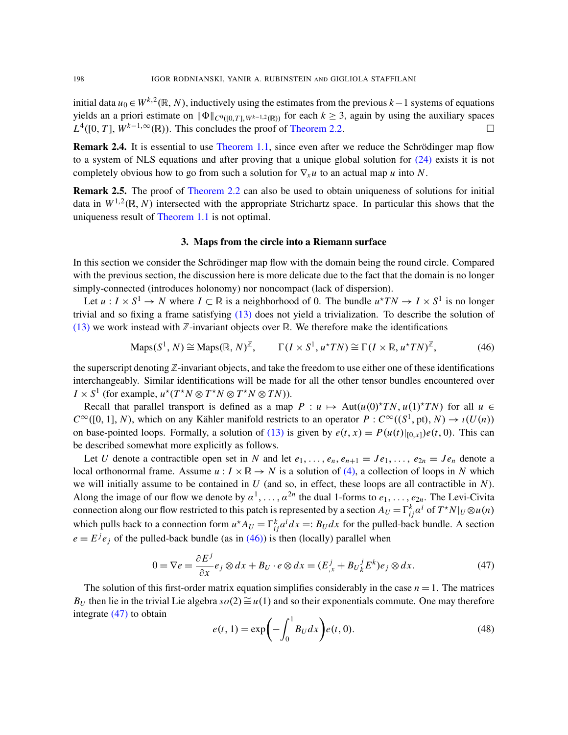initial data  $u_0 \in W^{k,2}(\mathbb{R}, N)$ , inductively [using the estim](#page-8-1)ates from the previous  $k-1$  systems of equations yields an a priori esti[mate on](#page-2-5)  $\|\Phi\|_{C^0([0,T], W^{k-1,2}(\mathbb{R}))}$  for each  $k \geq 3$ , again by using the auxiliary spaces  $L^4([0, T], W^{k-1, \infty}(\mathbb{R}))$ . This concludes the proof of Theorem 2.2.

**Remark 2.4.** It is essential to use Theorem 1.1, since even after we reduce the Schrödinger map flow to a system of [NLS equation](#page-8-1)s and after proving that a unique global solution for  $(24)$  exists it is not completely obvious how to go from such a solution for  $\nabla_x u$  to an actual map *u* into *N*.

<span id="page-12-0"></span>Remark 2.5. [The pro](#page-2-5)of of Theorem 2.2 can also be used to obtain uniqueness of solutions for initial data in  $W^{1,2}(\mathbb{R}, N)$  intersected with the appropriate Strichartz space. In particular this shows that the uniqueness result of Theorem 1.1 is not optimal.

#### <span id="page-12-1"></span>3. Maps from the circle into a Riemann surface

In this section we consider the Schrödinger map flow with the domain being the round circle. Compared with the previous section, the discussion here is more delicate due to the fact that the domain is no longer simply-connected (introdu[ces ho](#page-6-0)lonomy) nor noncompact (lack of dispersion).

Let  $u: I \times S^1 \to N$  where  $I \subset \mathbb{R}$  is a neighborhood of 0. The bundle  $u^*TN \to I \times S^1$  is no longer trivial and so fixing a frame satisfying (13) does not yield a trivialization. To describe the solution of (13) we work instead with  $\mathbb Z$ -invariant objects over  $\mathbb R$ . We therefore make the identifications

$$
\text{Maps}(S^1, N) \cong \text{Maps}(\mathbb{R}, N)^{\mathbb{Z}}, \qquad \Gamma(I \times S^1, u^*TN) \cong \Gamma(I \times \mathbb{R}, u^*TN)^{\mathbb{Z}}, \tag{46}
$$

the superscript denoting Z-invariant objects, and take the freedom to use either one of these identifications interchangeably. Similar identifications will be made for all the other tensor bundles encountered over *I* × *S*<sup>1</sup> (for example,  $u^*(T^*N \otimes T^*N \otimes T^*N \otimes TN)$ ).

Recall that parallel transport i[s defi](#page-6-0)ned as a map  $P: u \mapsto \text{Aut}(u(0)^*TN, u(1)^*TN)$  for all  $u \in$  $C^{\infty}([0, 1], N)$ , which on any Kähler manifold restricts to an operator  $P: C^{\infty}((S^1, pt), N) \to \iota(U(n))$ on base-pointed loops. Formally, a solution of (13) i[s giv](#page-2-1)en by  $e(t, x) = P(u(t)|_{[0,x]})e(t, 0)$ . This can be described somewhat more explicitly as follows.

Let *U* denote a contractible open set in *N* and let  $e_1, \ldots, e_n, e_{n+1} = Je_1, \ldots, e_{2n} = Je_n$  denote a local orthonormal frame. Assume  $u : I \times \mathbb{R} \to N$  is a solution of (4), a collection of loops in *N* which we will initially assume to be contained in *U* (and so, in effect, these loops are all contractible in *N*). Along the image of our flow we denote by  $\alpha^1, \ldots, \alpha^{2n}$  the dual 1-forms to  $e_1, \ldots, e_{2n}$ . The Levi-Civita connection along our flow rest[ricted](#page-12-1) to this patch is represented by a section  $A_U = \Gamma_{ij}^k \alpha^i$  of  $T^*N|_U \otimes u(n)$ which pulls back to a connection form  $u^* A_U = \Gamma_{ij}^k a^i dx =: B_U dx$  for the pulled-back bundle. A section  $e = E^{j} e_{j}$  of the pulled-back bundle (as in (46)) is then (locally) parallel when

<span id="page-12-2"></span>
$$
0 = \nabla e = \frac{\partial E^j}{\partial x} e_j \otimes dx + B_U \cdot e \otimes dx = (E^j_{,x} + B_U^j_{k} E^k) e_j \otimes dx. \tag{47}
$$

The solution of this first-order matrix equation simplifies considerably in the case  $n = 1$ . The matrices *B*<sup>*U*</sup> then lie in the trivial Lie algebra  $so(2) \cong u(1)$  and so their exponentials commute. One may therefore integrate (47) to obtain

$$
e(t, 1) = \exp\left(-\int_0^1 B_U dx\right) e(t, 0).
$$
 (48)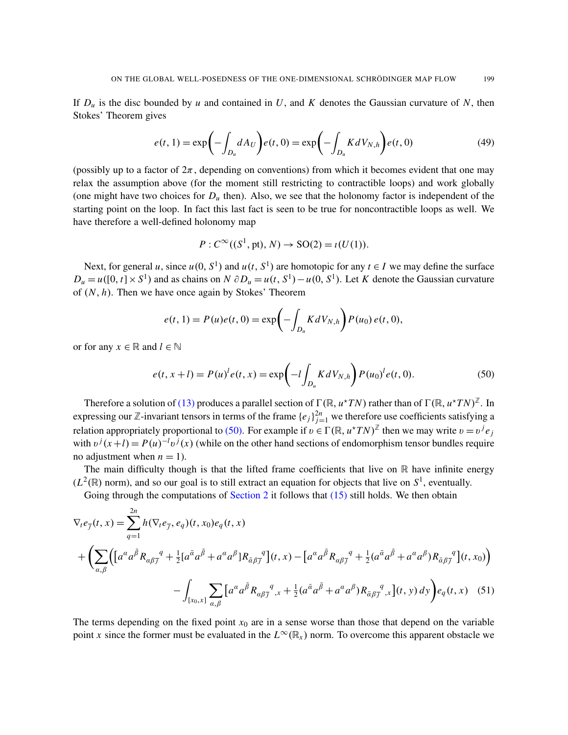<span id="page-13-1"></span>If  $D_u$  is the disc bounded by *u* and contained in *U*, and *K* denotes the Gaussian curvature of *N*, then Stokes' Theorem gives

$$
e(t, 1) = \exp\left(-\int_{D_u} dA_U\right) e(t, 0) = \exp\left(-\int_{D_u} K dV_{N,h}\right) e(t, 0) \tag{49}
$$

(possibly up to a factor of  $2\pi$ , depending on conventions) from which it becomes evident that one may relax the assumption above (for the moment still restricting to contractible loops) and work globally (one might have two choices for  $D<sub>u</sub>$  then). Also, we see that the holonomy factor is independent of the starting point on the loop. In fact this last fact is seen to be true for noncontractible loops as well. We have therefore a well-defined holonomy map

$$
P: C^{\infty}((S^1, pt), N) \to SO(2) = i(U(1)).
$$

Next, for general *u*, since  $u(0, S^1)$  and  $u(t, S^1)$  are homotopic for any  $t \in I$  we may define the surface  $D_u = u([0, t] \times S^1)$  and as chains on  $N \partial D_u = u(t, S^1) - u(0, S^1)$ . Let *K* denote the Gaussian curvature of (*N*, *h*). Then we have once again by Stokes' Theorem

<span id="page-13-0"></span>
$$
e(t, 1) = P(u)e(t, 0) = \exp\left(-\int_{D_u} K dV_{N,h}\right) P(u_0) e(t, 0),
$$

or for any  $x \in \mathbb{R}$  and  $l \in \mathbb{N}$ 

$$
e(t, x + l) = P(u)^{l} e(t, x) = \exp\left(-l \int_{D_u} K dV_{N, h}\right) P(u_0)^{l} e(t, 0).
$$
 (50)

Therefore a solution of [\(13\)](#page-13-0) produces a parallel section of  $\Gamma(\mathbb{R}, u^*TN)$  rather than of  $\Gamma(\mathbb{R}, u^*TN)^{\mathbb{Z}}$ . In expressing our  $\mathbb{Z}$ -invariant tensors in terms of the frame  $\{e_j\}_{j=1}^{2n}$  we therefore use coefficients satisfying a relation appropriately proportional to (50). For example if  $v \in \Gamma(\mathbb{R}, u^*TN)^{\mathbb{Z}}$  then we may write  $v = v^j e_j$ with  $v^j(x+l) = P(u)^{-1}v^j(x)$  (while on the other hand sections of endomorphism tensor bundles require no adjustment when  $n = 1$ ).

The main difficulty th[ough is th](#page-5-0)at the lifted f[rame](#page-6-3) coefficients that live on  $\mathbb R$  have infinite energy  $(L^2(\mathbb{R})$  norm), and so our goal is to still extract an equation for objects that live on  $S^1$ , eventually.

Going through the computations of Section 2 it follows that  $(15)$  still holds. We then obtain

$$
\nabla_{t} e_{\overline{f}}(t, x) = \sum_{q=1}^{2n} h(\nabla_{t} e_{\overline{f}}, e_{q})(t, x_{0}) e_{q}(t, x)
$$
  
+ 
$$
\left( \sum_{\alpha, \beta} \left( \left[ a^{\alpha} a^{\overline{\beta}} R_{\alpha \beta \overline{f}}^{q} + \frac{1}{2} \left[ a^{\overline{\alpha}} a^{\overline{\beta}} + a^{\alpha} a^{\beta} \right] R_{\overline{\alpha} \beta \overline{f}}^{q} \right] (t, x) - \left[ a^{\alpha} a^{\overline{\beta}} R_{\alpha \beta \overline{f}}^{q} + \frac{1}{2} (a^{\overline{\alpha}} a^{\overline{\beta}} + a^{\alpha} a^{\beta}) R_{\overline{\alpha} \beta \overline{f}}^{q} \right] (t, x_{0}) \right)
$$

$$
- \int_{[x_{0}, x]} \sum_{\alpha, \beta} \left[ a^{\alpha} a^{\overline{\beta}} R_{\alpha \beta \overline{f}}^{q}, x + \frac{1}{2} (a^{\overline{\alpha}} a^{\overline{\beta}} + a^{\alpha} a^{\beta}) R_{\overline{\alpha} \beta \overline{f}}^{q}, x \right] (t, y) dy \right) e_{q}(t, x) \quad (51)
$$

The terms depending on the fixed point  $x_0$  are in a sense worse than those that depend on the variable point *x* since the former must be evaluated in the  $L^{\infty}(\mathbb{R}_{x})$  norm. To overcome this apparent obstacle we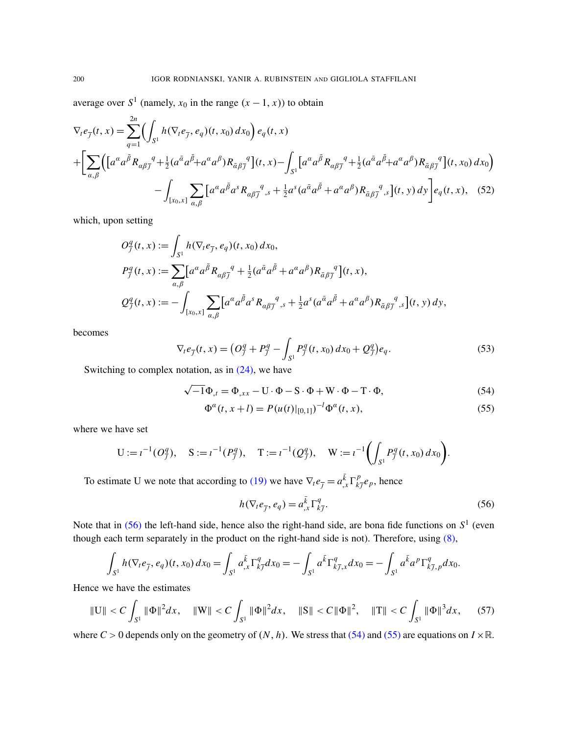average over  $S^1$  (namely,  $x_0$  in the range  $(x - 1, x)$ ) to obtain

$$
\nabla_{t} e_{\overline{f}}(t, x) = \sum_{q=1}^{2n} \left( \int_{S^{1}} h(\nabla_{t} e_{\overline{f}}, e_{q})(t, x_{0}) dx_{0} \right) e_{q}(t, x)
$$
\n
$$
+ \left[ \sum_{\alpha, \beta} \left( \left[ a^{\alpha} a^{\overline{\beta}} R_{\alpha \beta \overline{f}} + \frac{1}{2} (a^{\overline{\alpha}} a^{\overline{\beta}} + a^{\alpha} a^{\beta}) R_{\overline{\alpha} \beta \overline{f}} \right] (t, x) - \int_{S^{1}} \left[ a^{\alpha} a^{\overline{\beta}} R_{\alpha \beta \overline{f}} + \frac{1}{2} (a^{\overline{\alpha}} a^{\overline{\beta}} + a^{\alpha} a^{\beta}) R_{\overline{\alpha} \beta \overline{f}} \right] (t, x_{0}) dx_{0} \right) - \int_{[x_{0}, x]} \sum_{\alpha, \beta} \left[ a^{\alpha} a^{\overline{\beta}} a^{s} R_{\alpha \beta \overline{f}} \right]_{s}^{q}, s + \frac{1}{2} a^{s} (a^{\overline{\alpha}} a^{\overline{\beta}} + a^{\alpha} a^{\beta}) R_{\overline{\alpha} \beta \overline{f}} \right]_{s}^{q}, s \right] (t, y) dy \Big] e_{q}(t, x), \quad (52)
$$

which, upon setting

2*n*

$$
O_{\bar{J}}^{\bar{q}}(t, x) := \int_{S^1} h(\nabla_t e_{\bar{J}}, e_q)(t, x_0) dx_0,
$$
  
\n
$$
P_{\bar{J}}^{\bar{q}}(t, x) := \sum_{\alpha, \beta} \left[a^{\alpha} a^{\bar{\beta}} R_{\alpha \beta \bar{J}}^{\ \bar{q}} + \frac{1}{2} (a^{\bar{\alpha}} a^{\bar{\beta}} + a^{\alpha} a^{\beta}) R_{\bar{\alpha} \beta \bar{J}}^{\ \bar{q}}\right](t, x),
$$
  
\n
$$
Q_{\bar{J}}^{\bar{q}}(t, x) := - \int_{[x_0, x]} \sum_{\alpha, \beta} \left[a^{\alpha} a^{\bar{\beta}} a^s R_{\alpha \beta \bar{J}}^{\ \bar{q}}_{\ ,s} + \frac{1}{2} a^s (a^{\bar{\alpha}} a^{\bar{\beta}} + a^{\alpha} a^{\beta}) R_{\bar{\alpha} \beta \bar{J}}^{\ \bar{q}}_{\ ,s}\right](t, y) dy,
$$

becomes

$$
\nabla_t e_{\bar{j}}(t, x) = \left( O_j^q + P_j^q - \int_{S^1} P_j^q(t, x_0) \, dx_0 + Q_j^q \right) e_q. \tag{53}
$$

Switching to complex notation, as in  $(24)$ , we have

$$
\sqrt{-1}\Phi_{,t} = \Phi_{,xx} - U \cdot \Phi - S \cdot \Phi + W \cdot \Phi - T \cdot \Phi,
$$
\n(54)

<span id="page-14-1"></span><span id="page-14-0"></span>
$$
\Phi^{\alpha}(t, x + l) = P(u(t)|_{[0,1]})^{-l} \Phi^{\alpha}(t, x), \qquad (55)
$$

where we have set

$$
U := i^{-1}(O_j^q), \quad S := i^{-1}(P_j^q), \quad T := i^{-1}(Q_j^q), \quad W := i^{-1}\left(\int_{S^1} P_j^q(t, x_0) \, dx_0\right).
$$

To estimate U we note that according to (19) we have  $\nabla_t e_{\bar{j}} = a_{,x}^{\bar{k}} \Gamma_k^p$  $\frac{p}{kj}e_p$ , hence

$$
h(\nabla_t e_{\overline{j}}, e_q) = a_{,x}^{\overline{k}} \Gamma_{k\overline{j}}^q. \tag{56}
$$

Note that in  $(56)$  the left-hand side, hence also the right-hand side, are bona fide functions on  $S^1$  (even though each term separately in the product on the right-hand side is not). Therefore, using  $(8)$ ,

<span id="page-14-2"></span>
$$
\int_{S^1} h(\nabla_t e_{\overline{j}}, e_q)(t, x_0) dx_0 = \int_{S^1} a_{,x}^{\overline{k}} \Gamma_{k\overline{j}}^q dx_0 = - \int_{S^1} a^{\overline{k}} \Gamma_{k\overline{j},x}^q dx_0 = - \int_{S^1} a^{\overline{k}} a^p \Gamma_{k\overline{j},p}^q dx_0.
$$

Hence we have the estimates

$$
\|\mathbf{U}\| < C \int_{S^1} \|\Phi\|^2 dx, \quad \|\mathbf{W}\| < C \int_{S^1} \|\Phi\|^2 dx, \quad \|\mathbf{S}\| < C \|\Phi\|^2, \quad \|\mathbf{T}\| < C \int_{S^1} \|\Phi\|^3 dx, \quad (57)
$$

where  $C > 0$  depends only on the geometry of  $(N, h)$ . We stress that (54) and (55) are equations on  $I \times \mathbb{R}$ .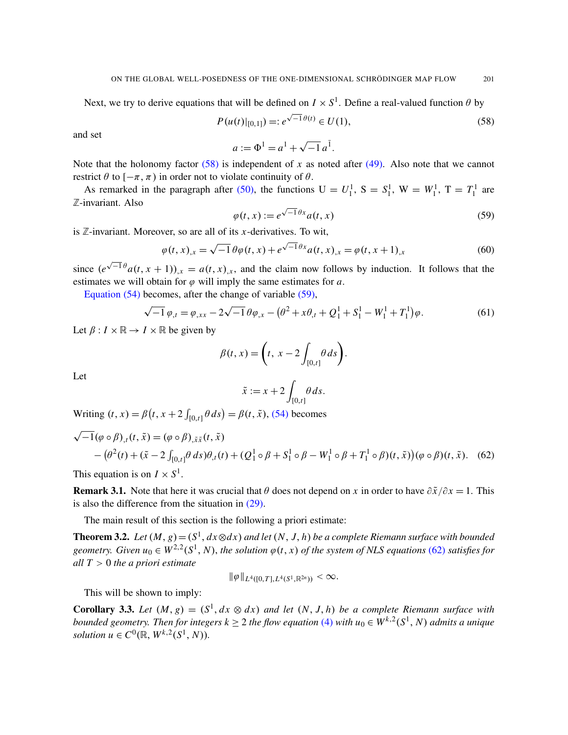Next, we try to derive equations that will be defined on  $I \times S^1$ . Define a real-valued function  $\theta$  by √

$$
P(u(t)|_{[0,1]}) =: e^{\sqrt{-1}\theta(t)} \in U(1),\tag{58}
$$

and set

$$
a := \Phi^1 = a^1 + \sqrt{-1} a^{\bar{1}}.
$$

<span id="page-15-0"></span>Note that the holonomy fa[ctor](#page-13-0) (58) is independent of *x* as noted after (49). Also note that we cannot restrict  $\theta$  to  $[-\pi, \pi)$  in order not to violate continuity of  $\theta$ .

As remarked in the paragraph after (50), the functions  $U = U_1^1$ ,  $S = S_1^1$ ,  $W = W_1^1$ ,  $T = T_1^1$  are Z-invariant. Also √

<span id="page-15-4"></span>
$$
\varphi(t,x) := e^{\sqrt{-1}\theta x} a(t,x) \tag{59}
$$

is  $\mathbb{Z}$ -invariant. Moreover, so are all of its *x*-derivatives. To wit, √

$$
\varphi(t, x)_{,x} = \sqrt{-1} \theta \varphi(t, x) + e^{\sqrt{-1} \theta x} a(t, x)_{,x} = \varphi(t, x + 1)_{,x}
$$
(60)

[since](#page-14-0) (*e*  $\sqrt{-1} \theta a(t, x + 1)$ ,  $x = a(t, x)$ , a[nd th](#page-15-0)e claim now follows by induction. It follows that the estimates we will obtain for  $\varphi$  will imply the same estimates for  $\alpha$ .

Equation (54) becomes, after the change of variable (59),

$$
\sqrt{-1}\,\varphi_{,t} = \varphi_{,xx} - 2\sqrt{-1}\,\theta\varphi_{,x} - \left(\theta^2 + x\theta_{,t} + Q_1^1 + S_1^1 - W_1^1 + T_1^1\right)\varphi.
$$
\n(61)

Let  $\beta: I \times \mathbb{R} \to I \times \mathbb{R}$  be given by

$$
\beta(t,x) = \bigg(t, x-2 \int_{[0,t]} \theta ds \bigg).
$$

Let

<span id="page-15-2"></span>
$$
\tilde{x} := x + 2 \int_{[0,t]} \theta \, ds.
$$

Writing  $(t, x) = \beta(t, x + 2 \int_{[0,t]} \theta ds) = \beta(t, \tilde{x})$ , (54) becomes √

$$
\sqrt{-1}(\varphi \circ \beta)_{,t}(t,\tilde{x}) = (\varphi \circ \beta)_{,\tilde{x}\tilde{x}}(t,\tilde{x}) \n- (\theta^2(t) + (\tilde{x} - 2\int_{[0,t]} \theta \, ds)\theta_{,t}(t) + (Q_1^1 \circ \beta + S_1^1 \circ \beta - W_1^1 \circ \beta + T_1^1 \circ \beta)(t,\tilde{x}) (\varphi \circ \beta)(t,\tilde{x}).
$$
\n(62)

This equation is on  $I \times S^1$ .

<span id="page-15-1"></span>**Remark 3.1.** Note that here it was crucial that  $\theta$  does not depend on *x* in order to have  $\frac{\partial \tilde{x}}{\partial x} = 1$ . This is also the difference from the situation in (29).

The main result of this section is the following a priori estimate:

**Theorem 3.2.** Let  $(M, g) = (S^1, dx \otimes dx)$  and let  $(N, J, h)$  be a complete Riemann surface with bounded geometry. Given  $u_0 \in W^{2,2}(S^1, N)$ , the solution  $\varphi(t, x)$  of the system of NLS equations (62) satisfies for *all T* > 0 *the a priori estimate*

<span id="page-15-3"></span>
$$
\|\varphi\|_{L^4([0,T],L^4(S^1,\mathbb{R}^{2n}))} < \infty.
$$

This will be shown to imply:

**Corollary 3.3.** Let  $(M, g) = (S^1, dx \otimes dx)$  and let  $(N, J, h)$  be a complete Riemann surface with *bounded geometry. Then for integers*  $k \geq 2$  *the flow equation (4) with*  $u_0 \in W^{k,2}(S^1, N)$  *admits a unique*  $solution u \in C^{0}(\mathbb{R}, W^{k,2}(S^{1}, N)).$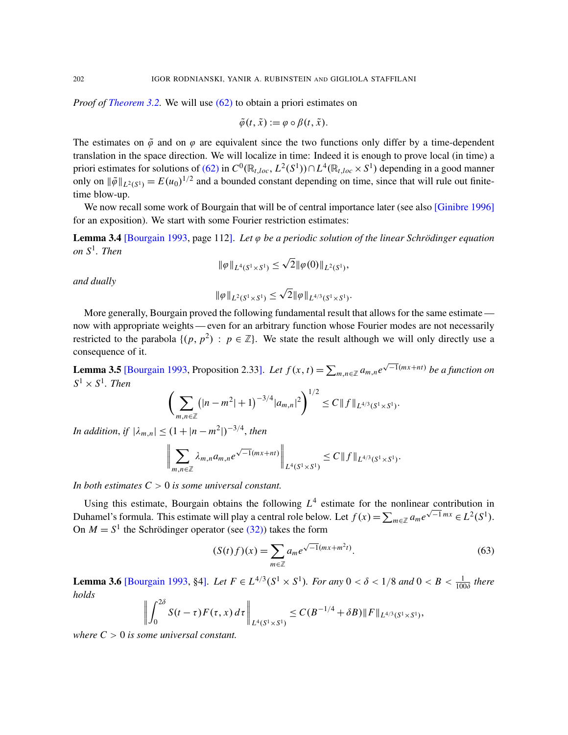*Proof of Theorem 3.2.* We will use (62) to obtain a priori estimates on

$$
\tilde{\varphi}(t, \tilde{x}) := \varphi \circ \beta(t, \tilde{x}).
$$

The estimates on  $\tilde{\varphi}$  [and](#page-15-2) on  $\varphi$  are equivalent since the two functions only differ by a time-dependent translation in the space direction. We will localize in time: Indeed it is enough to prove local (in time) a priori estimates for solutions of (62) in  $C^0(\mathbb{R}_{t,loc}, L^2(S^1)) \cap L^4(\mathbb{R}_{t,loc} \times S^1)$  depending in a good manner only on  $\|\tilde{\varphi}\|_{L^2(S^1)} = E(u_0)^{1/2}$  and a bounded constant depending on time, si[nce that will ru](#page-23-11)le out finitetime blow-up.

<span id="page-16-0"></span>[We now recal](#page-22-7)l some work of Bourgain that will be of central importance later (see also [Ginibre 1996] for an exposition). We start with some Fourier restriction estimates:

Lemma 3.4 [Bourgain 1993, page 112]. *Let* ϕ *be a periodic solution of the linear Schrödinger equation on S*<sup>1</sup> *. Then* √

$$
\|\varphi\|_{L^4(S^1\times S^1)} \leq \sqrt{2} \|\varphi(0)\|_{L^2(S^1)},
$$

*and dually*

$$
\|\varphi\|_{L^2(S^1\times S^1)}\leq \sqrt{2}\|\varphi\|_{L^{4/3}(S^1\times S^1)}.
$$

More generally, Bourgain proved the following fundamental result that allows for the same estimate now with appropriate weights — even for an arbitrary function whose Fourier modes are not necessarily [restricted to the](#page-22-7) parabola  $\{(p, p^2) : p \in \mathbb{Z}\}\$ . We state the result although we will only directly use a consequence of it.

**Lemma 3.5** [Bourgain 1993, Proposition 2.33]. *Let*  $f(x, t) = \sum_{m,n \in \mathbb{Z}} a_{m,n} e^{i\theta}$ √ <sup>−</sup>1(*mx*+*nt*) *be a function on*  $S^1 \times S^1$ *. Then* 

$$
\bigg(\sum_{m,n\in\mathbb{Z}}\big(|n-m^2|+1\big)^{-3/4}|a_{m,n}|^2\bigg)^{1/2}\leq C\|f\|_{L^{4/3}(S^1\times S^1)}.
$$

*In addition, if*  $|\lambda_{m,n}| \leq (1 + |n - m^2|)^{-3/4}$ , *then* 

$$
\bigg\|\sum_{m,n\in\mathbb{Z}}\lambda_{m,n}a_{m,n}e^{\sqrt{-1}(mx+nt)}\bigg\|_{L^4(S^1\times S^1)}\leq C\|f\|_{L^{4/3}(S^1\times S^1)}.
$$

*In both estimates C* > 0 *is some universal constant.*

Using this estimate, Bour[gain o](#page-9-2)btains the following  $L^4$  estimate for the nonlinear contribution in Duhamel's formula. This estimate will play a central role below. Let  $f(x) = \sum_{m \in \mathbb{Z}} a_m e^{\sqrt{-1} mx} \in L^2(S^1)$ . On  $M = S<sup>1</sup>$  the Schrödinger operator (see (32)) takes the form

$$
(S(t) f)(x) = \sum_{m \in \mathbb{Z}} a_m e^{\sqrt{-1}(mx + m^2 t)}.
$$
\n(63)

<span id="page-16-1"></span>**Lemma 3.6** [Bourgain 1993, §4]. *Let*  $F \in L^{4/3}(S^1 \times S^1)$ *. For any*  $0 < \delta < 1/8$  *and*  $0 < B < \frac{1}{100}$  $\frac{1}{100\delta}$  there *holds*

$$
\left\| \int_0^{2\delta} S(t-\tau) F(\tau,x) d\tau \right\|_{L^4(S^1 \times S^1)} \leq C(B^{-1/4} + \delta B) \|F\|_{L^{4/3}(S^1 \times S^1)},
$$

*where C* > 0 *is some universal constant.*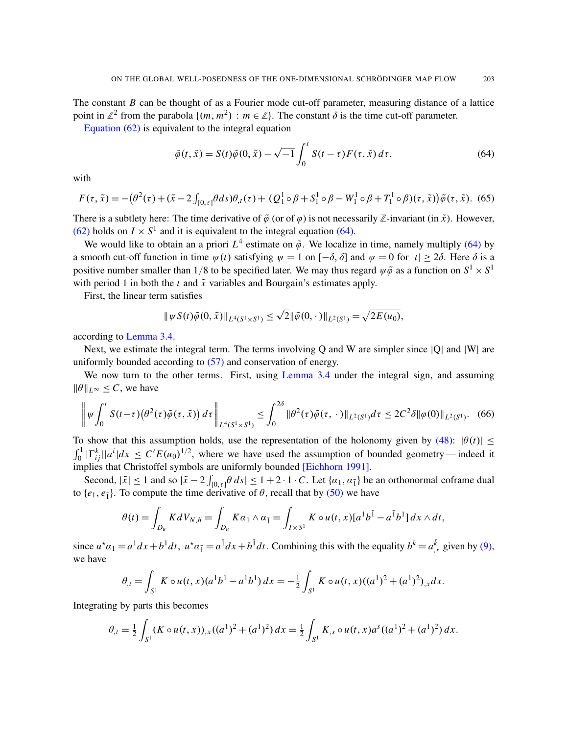[The](#page-15-2) constant *B* can be thought of as a Fourier mode cut-off parameter, measuring distance of a lattice point in  $\mathbb{Z}^2$  from the parabola  $\{(m, m^2) : m \in \mathbb{Z}\}$ . The constant  $\delta$  is the time cut-off parameter.

Equation (62) is equivalent to the integral equation

<span id="page-17-0"></span>
$$
\tilde{\varphi}(t,\tilde{x}) = S(t)\tilde{\varphi}(0,\tilde{x}) - \sqrt{-1} \int_0^t S(t-\tau)F(\tau,\tilde{x}) d\tau,
$$
\n(64)

with

$$
F(\tau, \tilde{x}) = -(\theta^2(\tau) + (\tilde{x} - 2\int_{[0,\tau]} \theta ds)\theta_{,t}(\tau) + (Q_1^1 \circ \beta + S_1^1 \circ \beta - W_1^1 \circ \beta + T_1^1 \circ \beta)(\tau, \tilde{x}))\tilde{\varphi}(\tau, \tilde{x}).
$$
 (65)

There is a subtlety here: The time derivative of  $\tilde{\varphi}$  (or of  $\varphi$ ) is not necessarily Z-invar[iant \(i](#page-17-0)n  $\tilde{x}$ ). However, (62) holds on  $I \times S^1$  and it is equivalent to the integral equation (64).

We would like to obtain an a priori  $L^4$  estimate on  $\tilde{\varphi}$ . We localize in time, namely multiply (64) by a smooth cut-off function in time  $\psi(t)$  satisfying  $\psi = 1$  on  $[-\delta, \delta]$  and  $\psi = 0$  for  $|t| \ge 2\delta$ . Here  $\delta$  is a positive number smaller than 1/8 to be specified later. We may thus regard  $\psi \tilde{\varphi}$  as a function on  $S^1 \times S^1$ with period 1 in both the  $t$  and  $\tilde{x}$  variables and Bourgain's estimates apply.

First, the linear term satisfies

$$
\|\psi S(t)\tilde{\varphi}(0,\tilde{x})\|_{L^4(S^1\times S^1)} \leq \sqrt{2}\|\tilde{\varphi}(0,\cdot)\|_{L^2(S^1)} = \sqrt{2E(u_0)},
$$

according to Lemm[a 3.4.](#page-14-2)

Next, we estimate the integral term[. The terms i](#page-16-0)nvolving  $Q$  and W are simpler since  $|Q|$  and  $|W|$  are uniformly bounded according to (57) and conservation of energy.

We now turn to the other terms. First, using Lemma 3.4 under the integral sign, and assuming  $\|\theta\|_{L^{\infty}}$  ≤ *C*, we have

$$
\left\|\psi\int_0^t S(t-\tau)(\theta^2(\tau)\tilde{\varphi}(\tau,\tilde{x}))\,d\tau\right\|_{L^4(S^1\times S^1)} \leq \int_0^{2\delta} \|\theta^2(\tau)\tilde{\varphi}(\tau,\,\cdot\,)\|_{L^2(S^1)}d\tau \leq 2C^2\delta \|\varphi(0)\|_{L^2(S^1)}.\tag{66}
$$

To show that this assumption holds, use th[e representation](#page-23-12) of the holonomy given by (48):  $|\theta(t)| \le$  $\int_0^1 |\Gamma_{ij}^k||a^i|dx \le C'E(u_0)^{1/2}$ , where we have used the assumption of bounded geometry—indeed it implies that Christoffel symbols are uniformly b[ounde](#page-13-0)d [Eichhorn 1991].

Second,  $|\tilde{x}| \le 1$  and so  $|\tilde{x} - 2 \int_{[0,\tau]} \theta ds | \le 1 + 2 \cdot 1 \cdot C$ . Let  $\{\alpha_1, \alpha_{\overline{1}}\}$  be an orthonormal coframe dual to  $\{e_1, e_1\}$ . To compute the time derivative of  $\theta$ , recall that by (50) we have

$$
\theta(t)=\int_{D_u}KdV_{N,h}=\int_{D_u}K\alpha_1\wedge\alpha_{\bar{1}}=\int_{I\times S^1}K\circ u(t,x)[a^1b^{\bar{1}}-a^{\bar{1}}b^1]\,dx\wedge dt,
$$

since  $u^*a_1 = a^1dx + b^1dt$ ,  $u^*a_{\bar{1}} = a^{\bar{1}}dx + b^{\bar{1}}dt$ . Combining this with the equality  $b^k = a^{\bar{k}}(x)$ , given by (9), we have

$$
\theta_{,t} = \int_{S^1} K \circ u(t,x) (a^1 b^{\bar{1}} - a^{\bar{1}} b^1) \, dx = -\frac{1}{2} \int_{S^1} K \circ u(t,x) ((a^1)^2 + (a^{\bar{1}})^2)_{,x} dx.
$$

Integrating by parts this becomes

$$
\theta_{,t} = \frac{1}{2} \int_{S^1} (K \circ u(t, x))_{,x} ((a^1)^2 + (a^{\bar{1}})^2) dx = \frac{1}{2} \int_{S^1} K_{,s} \circ u(t, x) a^s ((a^1)^2 + (a^{\bar{1}})^2) dx.
$$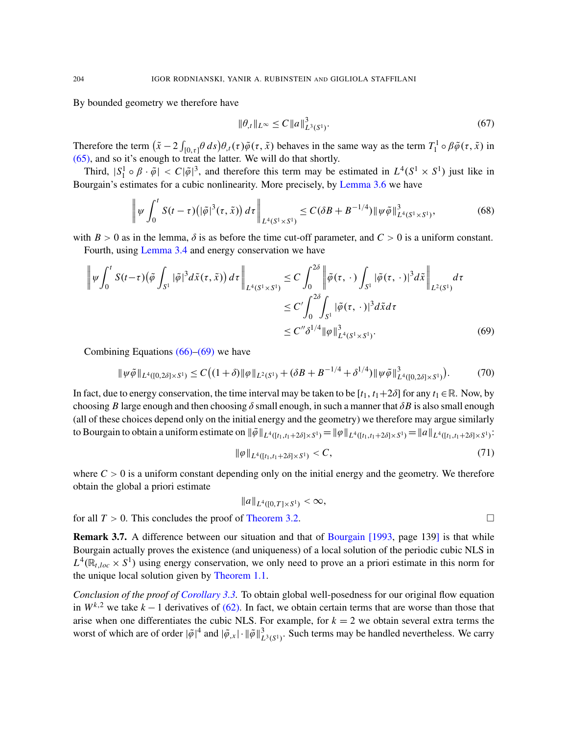By bounded geometry we therefore have

$$
\|\theta_{,t}\|_{L^{\infty}} \le C \|a\|_{L^{3}(S^{1})}^{3}.
$$
\n(67)

Therefore the term  $(\tilde{x} - 2 \int_{[0,\tau]} \theta ds) \theta_{,t}(\tau) \tilde{\varphi}(\tau, \tilde{x})$  behaves in the same way as the term  $T_1^1 \circ \beta \tilde{\varphi}(\tau, \tilde{x})$  in (65), and so it's enough to treat the latter. We will d[o that shortly](#page-16-1).

Third,  $|S_1^1 \circ \beta \cdot \tilde{\varphi}| < C |\tilde{\varphi}|^3$ , and therefore this term may be estimated in  $L^4(S^1 \times S^1)$  just like in Bourgain's estimates for a cubic nonlinearity. More precisely, by Lemma 3.6 we have

$$
\left\| \psi \int_0^t S(t-\tau) \left( |\tilde{\varphi}|^3(\tau,\tilde{x}) \right) d\tau \right\|_{L^4(S^1 \times S^1)} \leq C(\delta B + B^{-1/4}) \|\psi \tilde{\varphi}\|_{L^4(S^1 \times S^1)}^3, \tag{68}
$$

with  $B > 0$  as in the lemma,  $\delta$  is as before the time cut-off parameter, and  $C > 0$  is a uniform constant.

Fourth, using Lemma 3.4 and energy conservation we have

$$
\begin{split} \left\| \psi \int_{0}^{t} S(t-\tau) \left( \tilde{\varphi} \int_{S^{1}} |\tilde{\varphi}|^{3} d\tilde{x}(\tau, \tilde{x}) \right) d\tau \right\|_{L^{4}(S^{1} \times S^{1})} &\leq C \int_{0}^{2\delta} \left\| \tilde{\varphi}(\tau, \cdot) \int_{S^{1}} |\tilde{\varphi}(\tau, \cdot)|^{3} d\tilde{x} \right\|_{L^{2}(S^{1})} d\tau \\ &\leq C' \int_{0}^{2\delta} \int_{S^{1}} |\tilde{\varphi}(\tau, \cdot)|^{3} d\tilde{x} d\tau \\ &\leq C'' \delta^{1/4} \|\varphi\|_{L^{4}(S^{1} \times S^{1})}^{3} . \end{split} \tag{69}
$$

Combining Equations  $(66)$ – $(69)$  we have

$$
\|\psi\tilde{\varphi}\|_{L^{4}([0,2\delta]\times S^1)} \leq C\big((1+\delta)\|\varphi\|_{L^{2}(S^1)} + (\delta B + B^{-1/4} + \delta^{1/4})\|\psi\tilde{\varphi}\|_{L^{4}([0,2\delta]\times S^1)}^3\big). \tag{70}
$$

In fact, due to energy conservation, the time interval may be taken to be  $[t_1, t_1+2\delta]$  for any  $t_1 \in \mathbb{R}$ . Now, by choosing *B* large enough and then choosing  $\delta$  small enough, in such a manner that  $\delta B$  is also small enough (all of these choices depend only on the initial energy and the geometry) we therefore may argue similarly to Bourgain to obtain a uniform estimate on  $\|\tilde{\varphi}\|_{L^4([t_1,t_1+2\delta]\times S^1)} = \|\varphi\|_{L^4([t_1,t_1+2\delta]\times S^1)} = \|a\|_{L^4([t_1,t_1+2\delta]\times S^1)}$ 

$$
\|\varphi\|_{L^4([t_1,t_1+2\delta]\times S^1)} < C,\tag{71}
$$

where  $C > 0$  is a uniform constant depending only on the initial energy and the geometry. We therefore obtain the global a priori esti[mate](#page-15-1)

$$
||a||_{L^{4}([0,T]\times S^{1})}<\infty,
$$

for all  $T > 0$ . This concludes the proof of Theorem 3.2.

Remark 3.7. A difference between our situation and that of Bourgain [1993, page 139] is that while Bourgain actually pro[ves the existen](#page-2-5)ce (and uniqueness) of a local solution of the periodic cubic NLS in  $L^4(\mathbb{R}_{t,loc}\times S^1)$  [using energ](#page-15-3)y conservation, we only need to prove an a priori estimate in this norm for the unique local solutio[n give](#page-15-2)n by Theorem 1.1.

*Conclusion of the proof of Corollary 3.3.* To obtain global well-posedness for our original flow equation in  $W^{k,2}$  we take  $k - 1$  derivatives of (62). In fact, we obtain certain terms that are worse than those that arise when one differentiates the cubic NLS. For example, for  $k = 2$  we obtain several extra terms the worst of which are of order  $|\tilde{\varphi}|^4$  and  $|\tilde{\varphi}_{,x}| \cdot ||\tilde{\varphi}||^3$  $L^3$ <sub> $L^3(S^1)$ </sub>. Such terms may be handled nevertheless. We carry

<span id="page-18-0"></span>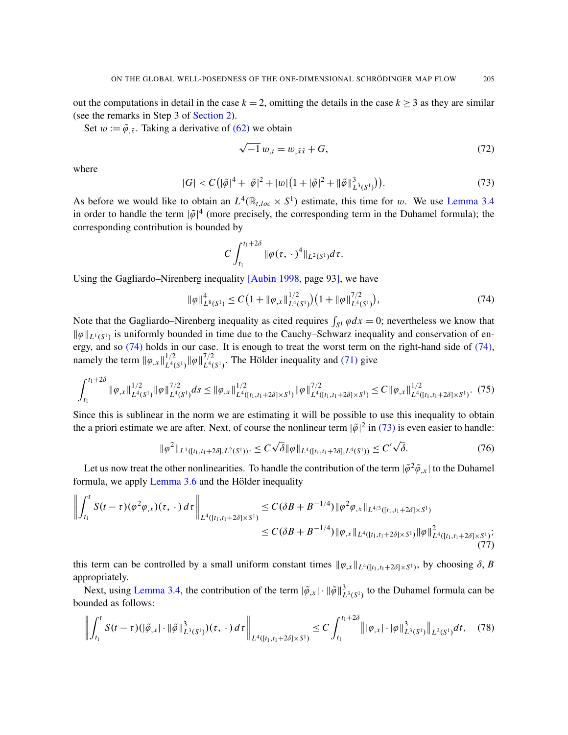out the computations in d[etail in](#page-15-2) the case  $k = 2$ , omitting the details in the case  $k \ge 3$  as they are similar (see the remarks in Step 3 of Section 2).

<span id="page-19-1"></span>Set  $w := \tilde{\varphi}_{\tilde{x}}$ . Taking a derivative of (62) we obtain

<span id="page-19-5"></span>
$$
\sqrt{-1} w_{,t} = w_{,\tilde{x}\tilde{x}} + G,\tag{72}
$$

where

$$
|G| < C\left(|\tilde{\varphi}|^4 + |\tilde{\varphi}|^2 + |w|\left(1 + |\tilde{\varphi}|^2 + \|\tilde{\varphi}\|_{L^3(S^1)}^3\right)\right). \tag{73}
$$

As before we would like to obtain an  $L^4(\mathbb{R}_{t, loc} \times S^1)$  estimate, this time for w. We use Lemma 3.4 in order to handle the term  $|\tilde{\varphi}|^4$  (more precisely, the corresponding term in the Duhamel formula); the corresponding contribution is bounded by

<span id="page-19-3"></span><span id="page-19-2"></span><span id="page-19-0"></span>
$$
C\int_{t_1}^{t_1+2\delta} \|\varphi(\tau,\,\cdot\,)^4\|_{L^2(S^1)}d\tau.
$$

Using the Gagliardo–Nirenberg inequality [Aubin 1998, page 93], we have

$$
\|\varphi\|_{L^8(S^1)}^4 \le C\big(1 + \|\varphi_{,x}\|_{L^4(S^1)}^{1/2}\big)\big(1 + \|\varphi\|_{L^4(S^1)}^{7/2}\big),\tag{74}
$$

[Note](#page-19-0) that the Gagliardo–Nirenberg inequality as cited requires  $\int_{S^1} \varphi dx = 0$ ; neverthe[less w](#page-19-0)e know that  $\|\varphi\|_{L^1(S^1)}$  is uniformly bounded in time due to the C[auchy](#page-18-0)–Schwarz inequality and conservation of energy, and so (74) holds in our case. It is enough to treat the worst term on the right-hand side of (74), namely the term  $\|\varphi_{,x}\|_{L^4(\Omega)}^{1/2}$  $_{L^{4}(S^{1})}^{1/2}\|\varphi\|_{L^{4}(S^{4})}^{7/2}$  $L^2(L^2(S^1))$ . The Hölder inequality and (71) give

$$
\int_{t_1}^{t_1+2\delta} \|\varphi_{,x}\|_{L^4(S^1)}^{1/2} \|\varphi\|_{L^4(S^1)}^{7/2} ds \le \|\varphi_{,x}\|_{L^4([t_1,t_1+2\delta]\times S^1)}^{1/2} \|\varphi\|_{L^4([t_1,t_1+2\delta]\times S^1)}^{7/2} \le C \|\varphi_{,x}\|_{L^4([t_1,t_1+2\delta]\times S^1)}^{1/2}.
$$
 (75)

Since this is sublinear in the norm we are estimating it will be possible to use this inequality to obtain the a priori estimate we are after. Next, of course the nonlinear term  $|\tilde{\varphi}|^2$  in (73) is even easier to handle:

<span id="page-19-4"></span>
$$
\|\varphi^2\|_{L^1([t_1,t_1+2\delta],L^2(S^1))} \le C\sqrt{\delta} \|\varphi\|_{L^4([t_1,t_1+2\delta],L^4(S^1))} \le C'\sqrt{\delta}.
$$
\n(76)

Let us now treat the other nonlinearities. To handle the contribution of the term  $|\tilde{\varphi}^2\tilde{\varphi}_{,x}|$  to the Duhamel formula, we apply Lemma 3.6 and the Hölder inequality

$$
\left\| \int_{t_1}^t S(t-\tau)(\varphi^2 \varphi_{,x})(\tau,\,\cdot\,) d\tau \right\|_{L^4([t_1,t_1+2\delta]\times S^1)} \leq C(\delta B + B^{-1/4}) \|\varphi^2 \varphi_{,x}\|_{L^{4/3}([t_1,t_1+2\delta]\times S^1)}
$$
  

$$
\leq C(\delta B + B^{-1/4}) \|\varphi_{,x}\|_{L^4([t_1,t_1+2\delta]\times S^1)} \|\varphi\|_{L^4([t_1,t_1+2\delta]\times S^1)}^2,
$$
 (77)

th[is term can](#page-16-0) be controlled by a small uniform constant times  $\|\varphi_{,x}\|_{L^4([t_1,t_1+2\delta]\times S^1)}$ , by choosing  $\delta$ , *B* appropriately.

Next, using Lemma 3.4, the contribution of the term  $|\tilde{\varphi}_{x}| \cdot ||\tilde{\varphi}||_{I}^{3}$  $L^3(S^1)$  to the Duhamel formula can be bounded as follows:

$$
\left\| \int_{t_1}^t S(t-\tau)(|\tilde{\varphi}_{,x}| \cdot \|\tilde{\varphi}\|_{L^3(S^1)}^3)(\tau,\,\cdot\,) d\tau \right\|_{L^4([t_1,t_1+2\delta]\times S^1)} \leq C \int_{t_1}^{t_1+2\delta} \|\varphi_{,x}| \cdot |\varphi\|_{L^3(S^1)}^3 \|\varphi_{,z}(s)\|_{L^2(S^1)} dt, \tag{78}
$$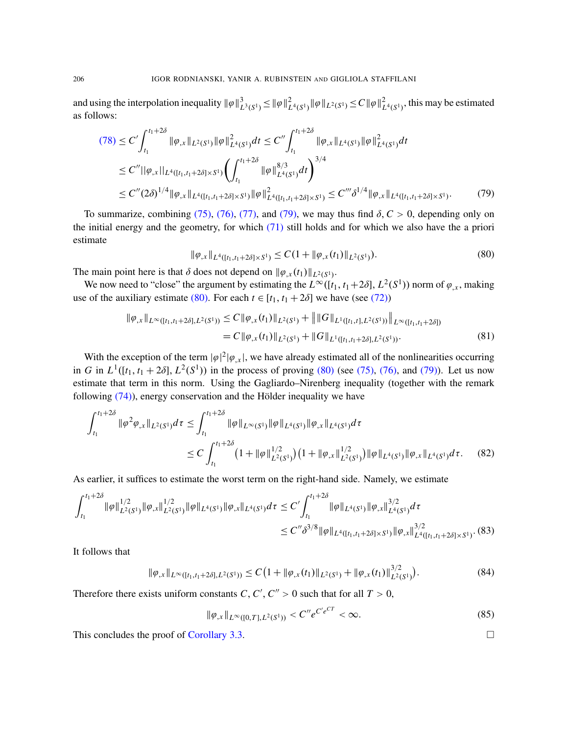<span id="page-20-0"></span>and using the interpolation inequality  $\|\varphi\|_I^3$  $\frac{3}{L^3(S^1)} \leq ||\varphi||^2_L$  $\frac{2}{L^4(S^1)} \|\varphi\|_{L^2(S^1)} \leq C \|\varphi\|_{L^2}^2$  $L^2_{L^4(S^1)}$ , this may be estimated as follows:

$$
(78) \leq C' \int_{t_1}^{t_1+2\delta} \|\varphi_{,x}\|_{L^2(S^1)} \|\varphi\|_{L^4(S^1)}^2 dt \leq C'' \int_{t_1}^{t_1+2\delta} \|\varphi_{,x}\|_{L^4(S^1)} \|\varphi\|_{L^4(S^1)}^2 dt
$$
  
\n
$$
\leq C'' \|\varphi_{,x}\|_{L^4([t_1,t_1+2\delta]\times S^1)} \left(\int_{t_1}^{t_1+2\delta} \|\varphi\|_{L^4(S^1)}^{8/3} dt\right)^{3/4}
$$
  
\n
$$
\leq C'' (2\delta)^{1/4} \|\varphi_{,x}\|_{L^4([t_1,t_1+2\delta]\times S^1)} \|\varphi\|_{L^4([t_1,t_1+2\delta]\times S^1)}^2 \leq C''' \delta^{1/4} \|\varphi_{,x}\|_{L^4([t_1,t_1+2\delta]\times S^1)}.
$$
  
\n(79)

<span id="page-20-1"></span>To summarize, combining (75), (76), (77), and (79), we may thus find  $\delta$ ,  $C > 0$ , depending only on the initial energy and the geometry, for which (71) still holds and for which we also have the a priori estimate

$$
\|\varphi_{,x}\|_{L^{4}([t_1,t_1+2\delta]\times S^1)} \leq C(1+\|\varphi_{,x}(t_1)\|_{L^{2}(S^1)}).
$$
\n(80)

The main point [here](#page-20-1) is that  $\delta$  does not depend on  $\|\varphi_{,x}(t_1)\|_{L^2(S^1)}$ [.](#page-19-5)

We now need to "close" the argument by estimating the  $L^{\infty}([t_1, t_1+2\delta], L^2(S^1))$  norm of  $\varphi_{,x}$ , making use of the auxiliary estimate (80). For each  $t \in [t_1, t_1 + 2\delta]$  we have (see (72))

$$
\|\varphi_{,x}\|_{L^{\infty}([t_1,t_1+2\delta],L^2(S^1))} \leq C \|\varphi_{,x}(t_1)\|_{L^2(S^1)} + \|\|G\|_{L^1([t_1,t],L^2(S^1))}\|_{L^{\infty}([t_1,t_1+2\delta])}
$$
  
=  $C \|\varphi_{,x}(t_1)\|_{L^2(S^1)} + \|G\|_{L^1([t_1,t_1+2\delta],L^2(S^1))}$ . (81)

With the exception of the term  $|\varphi|^2 |\varphi_{,x}|$ , we have already estimated all of the nonlinearities occurring [in](#page-19-0) *G* in  $L^1([t_1, t_1 + 2\delta], L^2(S^1))$  in the process of proving (80) (see (75), (76), and (79)). Let us now estimate that term in this norm. Using the Gagliardo–Nirenberg inequality (together with the remark following  $(74)$ , energy conservation and the Hölder inequality we have

$$
\int_{t_1}^{t_1+2\delta} \|\varphi^2 \varphi_{,x}\|_{L^2(S^1)} d\tau \le \int_{t_1}^{t_1+2\delta} \|\varphi\|_{L^\infty(S^1)} \|\varphi\|_{L^4(S^1)} \|\varphi_{,x}\|_{L^4(S^1)} d\tau
$$
\n
$$
\le C \int_{t_1}^{t_1+2\delta} \left(1 + \|\varphi\|_{L^2(S^1)}^{1/2}\right) \left(1 + \|\varphi_{,x}\|_{L^2(S^1)}^{1/2}\right) \|\varphi\|_{L^4(S^1)} \|\varphi_{,x}\|_{L^4(S^1)} d\tau. \tag{82}
$$

As earlier, it suffices to estimate the worst term on the right-hand side. Namely, we estimate

$$
\int_{t_1}^{t_1+2\delta} \|\varphi\|_{L^2(S^1)}^{1/2} \|\varphi_{,x}\|_{L^2(S^1)}^{1/2} \|\varphi\|_{L^4(S^1)} \|\varphi_{,x}\|_{L^4(S^1)} d\tau \leq C' \int_{t_1}^{t_1+2\delta} \|\varphi\|_{L^4(S^1)} \|\varphi_{,x}\|_{L^4(S^1)}^{3/2} d\tau
$$
  
 
$$
\leq C'' \delta^{3/8} \|\varphi\|_{L^4([t_1,t_1+2\delta]\times S^1)} \|\varphi_{,x}\|_{L^4([t_1,t_1+2\delta]\times S^1)}^{3/2}.
$$
 (83)

It follows that

$$
\|\varphi_{,x}\|_{L^{\infty}([t_1,t_1+2\delta],L^2(S^1))} \le C\big(1+\|\varphi_{,x}(t_1)\|_{L^2(S^1)}+\|\varphi_{,x}(t_1)\|_{L^2(S^1)}^{3/2}\big). \tag{84}
$$

Therefore there exists uniform constants *C*, *C'*, *C''* > 0 such that for all *T* > 0,

$$
\|\varphi_{,x}\|_{L^{\infty}([0,T],L^2(S^1))} < C''e^{C'e^{CT}} < \infty. \tag{85}
$$

This concludes the proof of Corollary 3.3.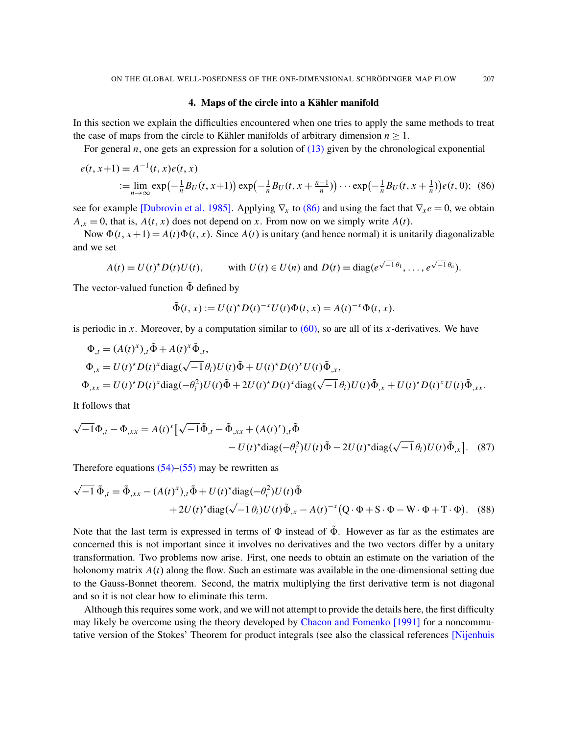#### <span id="page-21-1"></span>4. Maps of the circle into a Kähler manifold

<span id="page-21-0"></span>In this section we explain the difficulties enc[ounte](#page-6-0)red when one tries to apply the same methods to treat the case of maps from the circle to Kähler manifolds of arbitrary dimension  $n \geq 1$ .

For general *n*, one gets an expression for a solution of (13) given by the chronological exponential

$$
e(t, x+1) = A^{-1}(t, x)e(t, x)
$$
  
 :=  $\lim_{n \to \infty} \exp(-\frac{1}{n}B_U(t, x+1)) \exp(-\frac{1}{n}B_U(t, x+\frac{n-1}{n})) \cdots \exp(-\frac{1}{n}B_U(t, x+\frac{1}{n}))e(t, 0);$  (86)

see for example [Dubrovin et al. 1985]. Applying  $\nabla_x$  to (86) and using the fact that  $\nabla_x e = 0$ , we obtain  $A_x = 0$ , that is,  $A(t, x)$  does not depend on *x*. From now on we simply write  $A(t)$ .

Now  $\Phi(t, x+1) = A(t)\Phi(t, x)$ . Since  $A(t)$  is unitary (and hence normal) it is unitarily diagonalizable and we set

$$
A(t) = U(t)^{\star} D(t) U(t), \qquad \text{with } U(t) \in U(n) \text{ and } D(t) = \text{diag}(e^{\sqrt{-1} \theta_1}, \dots, e^{\sqrt{-1} \theta_n}).
$$

The vector-valued function  $\tilde{\Phi}$  defined by

$$
\tilde{\Phi}(t, x) := U(t)^{\star} D(t)^{-x} U(t) \Phi(t, x) = A(t)^{-x} \Phi(t, x).
$$

is periodic in  $x$ . Moreover, by a computation similar to  $(60)$ , so are all of its  $x$ -derivatives. We have

$$
\Phi_{,t} = (A(t)^x)_{,t} \tilde{\Phi} + A(t)^x \tilde{\Phi}_{,t},
$$
  
\n
$$
\Phi_{,x} = U(t)^* D(t)^x \text{diag}(\sqrt{-1} \theta_i) U(t) \tilde{\Phi} + U(t)^* D(t)^x U(t) \tilde{\Phi}_{,x},
$$
  
\n
$$
\Phi_{,xx} = U(t)^* D(t)^x \text{diag}(-\theta_i^2) U(t) \tilde{\Phi} + 2U(t)^* D(t)^x \text{diag}(\sqrt{-1} \theta_i) U(t) \tilde{\Phi}_{,x} + U(t)^* D(t)^x U(t) \tilde{\Phi}_{,xx}.
$$

It follows that

$$
\sqrt{-1}\Phi_{,t} - \Phi_{,xx} = A(t)^{x} \left[\sqrt{-1}\tilde{\Phi}_{,t} - \tilde{\Phi}_{,xx} + (A(t)^{x})_{,t}\tilde{\Phi} - U(t)^{*} \text{diag}(-\theta_{i}^{2})U(t)\tilde{\Phi} - 2U(t)^{*} \text{diag}(\sqrt{-1}\theta_{i})U(t)\tilde{\Phi}_{,x}\right].
$$
 (87)

Therefore equations  $(54)$ – $(55)$  may be rewritten as

$$
\sqrt{-1} \, \tilde{\Phi}_{,t} = \tilde{\Phi}_{,xx} - (A(t)^x)_{,t} \tilde{\Phi} + U(t)^* \text{diag}(-\theta_i^2) U(t) \tilde{\Phi} \n+ 2U(t)^* \text{diag}(\sqrt{-1} \, \theta_i) U(t) \tilde{\Phi}_{,x} - A(t)^{-x} \big( Q \cdot \Phi + S \cdot \Phi - W \cdot \Phi + T \cdot \Phi \big).
$$
\n(88)

Note that the last term is expressed in terms of  $\Phi$  instead of  $\Phi$ . However as far as the estimates are concerned this is not important since it involves no derivatives and the two vectors differ by a unitary transformation. Two problems now arise. First, one needs to obtain an estimate on the variation of the holonomy matrix  $A(t)$  along the flow. Such an estimate was available in the one-dimensional setting due to the Gauss-Bonnet theorem. Second, the matrix multiplying the first derivative term is not diagonal and so it is not clear how to eliminate this [term.](#page-22-9)

Although this requires some work, and we will not attempt to provide the details [here, the fi](#page-23-14)rst difficulty may likely be overcome using the theory developed by Chacon and Fomenko [1991] for a noncommutative version of the Stokes' Theorem for product integrals (see also the classical references [Nijenhuis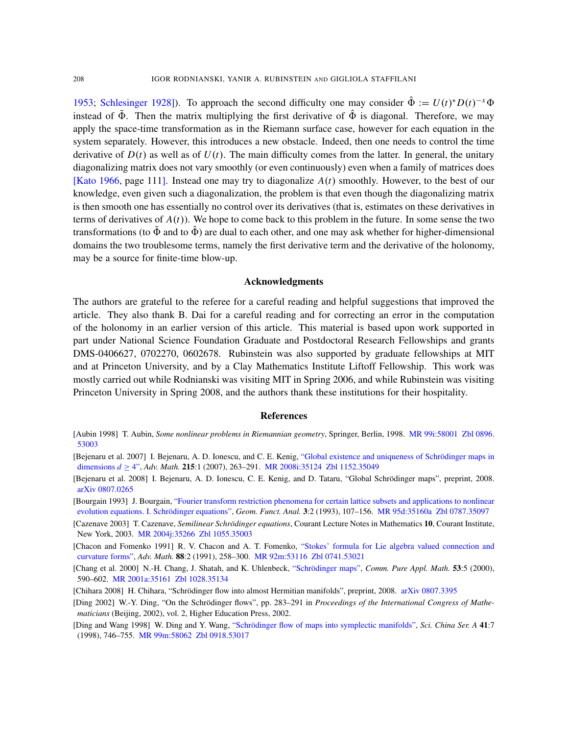1953; Schlesinger 1928]). To approach the second difficulty one may consider  $\hat{\Phi} := U(t)^* D(t)^{-x} \Phi$ instead of  $\tilde{\Phi}$ . Then the matrix multiplying the first derivative of  $\hat{\Phi}$  is diagonal. Therefore, we may apply the space-time transformation as in the Riemann surface case, however for each equation in the system separately. However, this introduces a new obstacle. Indeed, then one needs to control the time derivative of  $D(t)$  as well as of  $U(t)$ . The main difficulty comes from the latter. In general, the unitary diagonalizing matrix does not vary smoothly (or even continuously) even when a family of matrices does [Kato 1966, page 111]. Instead one may try to diagonalize *A*(*t*) smoothly. However, to the best of our knowledge, even given such a diagonalization, the problem is that even though the diagonalizing matrix is then smooth one has essentially no control over its derivatives (that is, estimates on these derivatives in terms of derivatives of *A*(*t*)). We hope to come back to this problem in the future. In some sense the two transformations (to  $\Phi$  and to  $\hat{\Phi}$ ) are dual to each other, and one may ask whether for higher-dimensional domains the two troublesome terms, namely the first derivative term and the derivative of the holonomy, may be a source for finite-time blow-up.

#### Acknowledgments

The authors are grateful to the referee for a careful reading and helpful suggestions that improved the article. They also thank B. Dai for a careful reading and for correcting an error in the computation of the holonomy in an earlier version of this article. This material is based upon work supported in part under National Science Foundation Graduate and Postdoctoral Research Fellowships and grants DMS-0406627, 0702270, 0602678. Rubinstein was also supported by graduate fellowships at MIT and at Princeton University, and by a Clay Mathematics Institute Liftoff Fellowship. This work was mostly carried out while Rodnianski was visiting MIT in Spring 2006, and while Rubinstein was visiting Princeton University in Spring 2008, and the authors thank these institutions for their hospitality.

#### References

- <span id="page-22-8"></span><span id="page-22-4"></span><span id="page-22-3"></span>[\[Aub](http://dx.doi.org/10.1016/j.aim.2007.04.009)in 1998] T. Aubin, *Some nonlinear [problems in Riema](http://www.ams.org/mathscinet-getitem?mr=2008i:35124)[nnian geometry](http://www.emis.de/cgi-bin/MATH-item?1152.35049)*, Springer, Berlin, 1998. MR 99i:58001 Zbl 0896. 53003
- [\[Be](http://arxiv.org/abs/0807.0265)jenaru et al. 2007] I. Bejenaru, A. D. Ionescu, and C. E. Kenig, "Global existence and uniqueness of Schrödinger maps in dimensions *d* ≥ 4", *Adv. Math.* 215:1 (2007), 263–291. MR 2008i:35124 Zbl 1152.35049
- <span id="page-22-7"></span>[\[Bejenaru et al. 2008\]](http://dx.doi.org/10.1007/BF01896020) [I. Bejenaru, A. D. Ionescu, C. E. Kenig, and D. T](http://dx.doi.org/10.1007/BF01896020)[ataru, "Global Sc](http://www.ams.org/mathscinet-getitem?mr=95d:35160a)[hrödinger maps"](http://www.emis.de/cgi-bin/MATH-item?0787.35097)[,](http://dx.doi.org/10.1007/BF01896020) preprint, 2008. arXiv 0807.0265
- <span id="page-22-6"></span>[Bo[urgain 1993\]](http://www.ams.org/mathscinet-getitem?mr=2004j:35266) J. Bourgain, ["Fourier](http://www.emis.de/cgi-bin/MATH-item?1055.35003) transform restriction phenomena for certain lattice subsets and applications to nonlinear evolution equations. I. Schrödinger equations", *Geom. Funct. Anal.* 3[:2 \(1993\), 107–156.](http://dx.doi.org/10.1016/0001-8708(91)90009-V) MR 95d:35160a Zbl 0787.35097
- <span id="page-22-9"></span>[\[Ca](http://dx.doi.org/10.1016/0001-8708(91)90009-V)zenave 2003] T. Cazenave, *Semili[near Schrödinger](http://www.ams.org/mathscinet-getitem?mr=92m:53116) [equations](http://www.emis.de/cgi-bin/MATH-item?0741.53021)*, Courant Lecture Notes in Mathematics 10, Courant Institute, New York, 2003. MR 2004j:35266 Zbl 1055.35003
- <span id="page-22-2"></span>[\[Chacon and](http://www.ams.org/mathscinet-getitem?mr=2001a:35161) [Fomenko 1991\]](http://www.emis.de/cgi-bin/MATH-item?1028.35134) R. V. Chacon and [A. T. Fomenko,](http://dx.doi.org/10.1002/(SICI)1097-0312(200005)53:5%3C590::AID-CPA2%3E3.3.CO%3B2-I) "Stokes' formula for Lie algebra valued connection and curvature forms", *Adv. Math.* 88:2 (1991), 258–300. MR 92m:53116 Zbl 0741.53021
- <span id="page-22-5"></span><span id="page-22-0"></span>[Chang et al. 2000] N.-H. Chang, J. Shatah, and K. Uhlenbeck, "Schrödinger maps", *[Comm. Pure](http://arxiv.org/abs/0807.3395) Appl. Math.* 53:5 (2000), 590–602. MR 2001a:35161 Zbl 1028.35134
- <span id="page-22-1"></span>[Chihara 2008] H. Chihara, "Sc[hrödinger flow into almost Hermitian manifolds", prepri](http://dx.doi.org/10.1007/BF02901957)nt, 2008. arXiv 0807.3395
- [Di[ng 2002\]](http://www.ams.org/mathscinet-getitem?mr=99m:58062) W.-Y. [Ding, "On the Sc](http://www.emis.de/cgi-bin/MATH-item?0918.53017)hrödinger flows", pp. 283–291 in *Proceedings of the International Congress of Mathematicians* (Beijing, 2002), vol. 2, Higher Education Press, 2002.
- [Ding and Wang 1998] W. Ding and Y. Wang, "Schrödinger flow of maps into symplectic manifolds", *Sci. China Ser. A* 41:7 (1998), 746–755. MR 99m:58062 Zbl 0918.53017